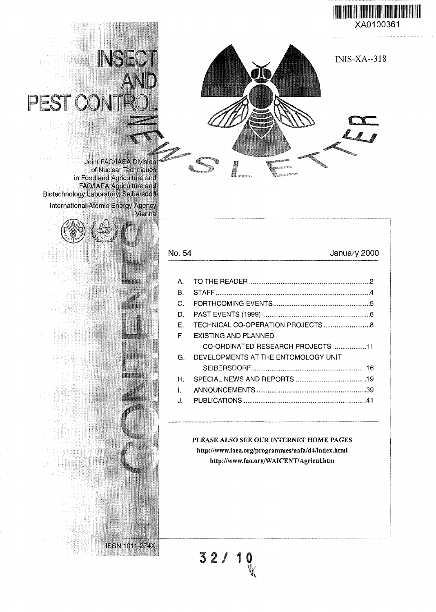



# INSE PEST CONT

Joint FAO'IAEA Divisior of Nuclear Techniques in Food and Agriculture and FAO/IAEA Agriculture and Biotechnology Laboratory. Se'bersdorf International Atomic Energy Agency



ISSN10I1-274X

| No. 54 | January 2000                        |
|--------|-------------------------------------|
|        |                                     |
| А.     |                                     |
| В.     |                                     |
| C.     |                                     |
| Đ.     |                                     |
| E.     |                                     |
| F      | EXISTING AND PLANNED                |
|        | CO-ORDINATED RESEARCH PROJECTS 11   |
| G.     | DEVELOPMENTS AT THE ENTOMOLOGY UNIT |
|        |                                     |
| Н.     |                                     |
| L      |                                     |
| Л.     |                                     |
|        |                                     |

PLEASE ALSO SEE OUR INTERNET HOME PAGES http://www.iaea.org/programmes/nafa/d4/index.html http://www.fao.org/WAICENT/AgricuI.htm

**3 2 / 10**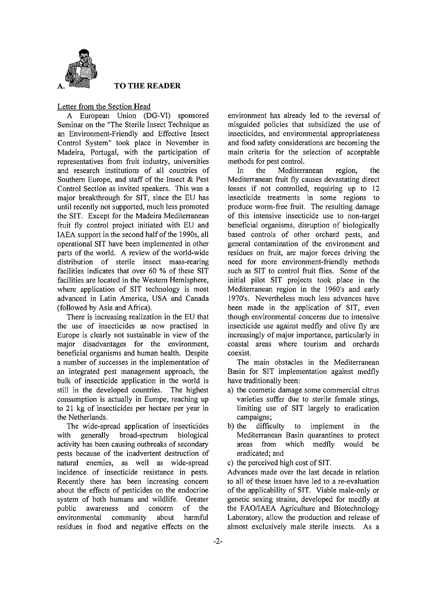

#### **TO THE READER**

#### Letter from the Section Head

A European Union (DG-VI) sponsored Seminar on the "The Sterile Insect Technique as an Environment-Friendly and Effective Insect Control System" took place in November in Madeira, Portugal, with the participation of representatives from fruit industry, universities and research institutions of all countries of Southern Europe, and staff of the Insect & Pest Control Section as invited speakers. This was a major breakthrough for SIT, since the EU has until recently not supported, much less promoted the SIT. Except for the Madeira Mediterranean fruit fly control project initiated with EU and IAEA support in the second half of the 1990s, all operational SIT have been implemented in other parts of the world. A review of the world-wide distribution of sterile insect mass-rearing facilities indicates that over 60 % of these SIT facilities are located in the Western Hemisphere, where application of SIT technology is most advanced in Latin America, USA and Canada (followed by Asia and Africa).

There is increasing realization in the EU that the use of insecticides as now practised in Europe is clearly not sustainable in view of the major disadvantages for the environment, beneficial organisms and human health. Despite a number of successes in the implementation of an integrated pest management approach, the bulk of insecticide application in the world is still in the developed countries. The highest consumption is actually in Europe, reaching up to 21 kg of insecticides per hectare per year in the Netherlands.

The wide-spread application of insecticides with generally broad-spectrum biological activity has been causing outbreaks of secondary pests because of the inadvertent destruction of natural enemies, as well as wide-spread incidence of insecticide resistance in pests. Recently there has been increasing concern about the effects of pesticides on the endocrine system of both humans and wildlife. Greater public awareness and concern of the environmental community about harmful residues in food and negative effects on the

environment has already led to the reversal of misguided policies that subsidized the use of insecticides, and environmental appropriateness and food safety considerations are becoming the main criteria for the selection of acceptable methods for pest control.

In the Mediterranean region, the Mediterranean fruit fly causes devastating direct losses if not controlled, requiring up to 12 insecticide treatments in some regions to produce worm-free fruit. The resulting damage of this intensive insecticide use to non-target beneficial organisms, disruption of biologically based controls of other orchard pests, and general contamination of the environment and residues on fruit, are major forces driving the need for more environment-friendly methods such as SIT to control fruit flies. Some of the initial pilot SIT projects took place in the Mediterranean region in the 1960's and early 1970's. Nevertheless much less advances have been made in the application of SIT, even though environmental concerns due to intensive insecticide use against medfly and olive fly are increasingly of major importance, particularly in coastal areas where tourism and orchards coexist.

The main obstacles in the Mediterranean Basin for SIT implementation against medfly have traditionally been:

- a) the cosmetic damage some commercial citrus varieties suffer due to sterile female stings, limiting use of SIT largely to eradication campaigns;
- b) the difficulty to implement in the Mediterranean Basin quarantines to protect<br>areas from which medfly would be which medfly would be eradicated; and

c) the perceived high cost of SIT.

Advances made over the last decade in relation to all of these issues have led to a re-evaluation of the applicability of SIT. Viable male-only or genetic sexing strains, developed for medfly at the FAO/IAEA Agriculture and Biotechnology Laboratory, allow the production and release of almost exclusively male sterile insects. As a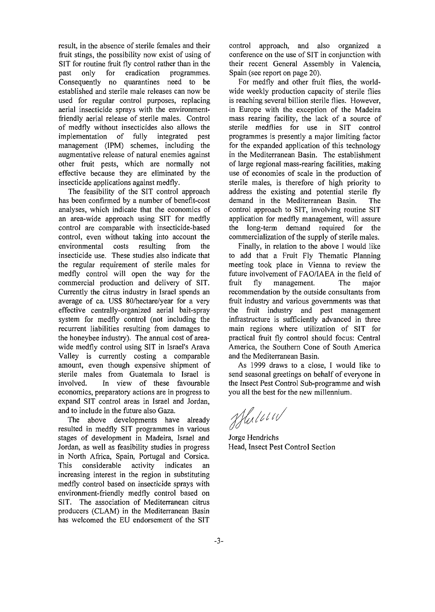result, in the absence of sterile females and their fruit stings, the possibility now exist of using of SIT for routine fruit fly control rather than in the past only for eradication programmes. Consequently no quarantines need to be established and sterile male releases can now be used for regular control purposes, replacing aerial insecticide sprays with the environmentfriendly aerial release of sterile males. Control of medfly without insecticides also allows the implementation of fully integrated pest management (IPM) schemes, including the augmentative release of natural enemies against other fruit pests, which are normally not effective because they are eliminated by the insecticide applications against medfly.

The feasibility of the SIT control approach has been confirmed by a number of benefit-cost analyses, which indicate that the economics of an area-wide approach using SIT for medfly control are comparable with insecticide-based control, even without taking into account the environmental costs resulting from the insecticide use. These studies also indicate that the regular requirement of sterile males for medfly control will open the way for the commercial production and delivery of SIT. Currently the citrus industry in Israel spends an average of ca. US\$ 80/hectare/year for a very effective centrally-organized aerial bait-spray system for medfly control (not including the recurrent liabilities resulting from damages to the honeybee industry). The annual cost of areawide medfly control using SIT in Israel's Arava Valley is currently costing a comparable amount, even though expensive shipment of sterile males from Guatemala to Israel is involved. In view of these favourable economics, preparatory actions are in progress to expand SIT control areas in Israel and Jordan, and to include in the future also Gaza.

The above developments have already resulted in medfly SIT programmes in various stages of development in Madeira, Israel and Jordan, as well as feasibility studies in progress in North Africa, Spain, Portugal and Corsica. This considerable activity indicates increasing interest in the region in substituting medfly control based on insecticide sprays with environment-friendly medfly control based on SIT. The association of Mediterranean citrus producers (CLAM) in the Mediterranean Basin has welcomed the EU endorsement of the SIT

control approach, and also organized a conference on the use of SIT in conjunction with their recent General Assembly in Valencia, Spain (see report on page 20).

For medfly and other fruit flies, the worldwide weekly production capacity of sterile flies is reaching several billion sterile flies. However, in Europe with the exception of the Madeira mass rearing facility, the lack of a source of sterile medflies for use in SIT control programmes is presently a major limiting factor for the expanded application of this technology in the Mediterranean Basin. The establishment of large regional mass-rearing facilities, making use of economies of scale in the production of sterile males, is therefore of high priority to address the existing and potential sterile fly demand in the Mediterranean Basin. The control approach to SIT, involving routine SIT application for medfly management, will assure the long-term demand required for the commercialization of the supply of sterile males.

Finally, in relation to the above I would like to add that a Fruit Fly Thematic Planning meeting took place in Vienna to review the future involvement of FAO/IAEA in the field of fruit fly management. The major recommendation by the outside consultants from fruit industry and various governments was that the fruit industry and pest management infrastructure is sufficiently advanced in three main regions where utilization of SIT for practical fruit fly control should focus: Central America, the Southern Cone of South America and the Mediterranean Basin.

As 1999 draws to a close, I would like to send seasonal greetings on behalf of everyone in the Insect Pest Control Sub-programme and wish you all the best for the new millennium.

Muller

Jorge Hendrichs Head, Insect Pest Control Section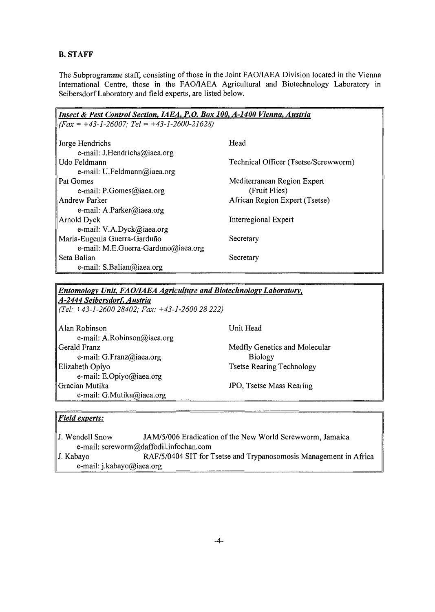## B. STAFF

The Subprogramme staff, consisting of those in the Joint FAO/IAEA Division located in the Vienna International Centre, those in the FAO/IAEA Agricultural and Biotechnology Laboratory in Seibersdorf Laboratory and field experts, are listed below.

| Insect & Pest Control Section, IAEA, P.O. Box 100, A-1400 Vienna, Austria |                                      |  |  |  |
|---------------------------------------------------------------------------|--------------------------------------|--|--|--|
| $(Fax = +43-1-26007; Tel = +43-1-2600-21628)$                             |                                      |  |  |  |
|                                                                           |                                      |  |  |  |
| Jorge Hendrichs                                                           | Head                                 |  |  |  |
| e-mail: J.Hendrichs@iaea.org                                              |                                      |  |  |  |
| Udo Feldmann                                                              | Technical Officer (Tsetse/Screwworm) |  |  |  |
| e-mail: U.Feldmann@iaea.org                                               |                                      |  |  |  |
| Pat Gomes                                                                 | Mediterranean Region Expert          |  |  |  |
| e-mail: P.Gomes@iaea.org                                                  | (Fruit Flies)                        |  |  |  |
| Andrew Parker                                                             | African Region Expert (Tsetse)       |  |  |  |
| e-mail: A.Parker@iaea.org                                                 |                                      |  |  |  |
| Arnold Dyck                                                               | Interregional Expert                 |  |  |  |
| e-mail: V.A.Dyck@iaea.org                                                 |                                      |  |  |  |
| Maria-Eugenia Guerra-Garduño                                              | Secretary                            |  |  |  |
| e-mail: M.E.Guerra-Garduno@iaea.org                                       |                                      |  |  |  |
| Seta Balian                                                               | Secretary                            |  |  |  |
| e-mail: S.Balian@iaea.org                                                 |                                      |  |  |  |

## *Entomology Unit, FAO/IAEA Agriculture and Biotechnology Laboratory, A-2444 Seibersdorf, Austria*

*(Tel: +43-1-2600 28402; Fax: +43-1-2600 1 28 222)*

Alan Robinson e-mail: A.Robinson@iaea.org Gerald Franz e-mail: G.Franz@iaea.org Elizabeth Opiyo e-mail: E.Opiyo@iaea.org Gracian Mutika e-mail: G.Mutika@iaea.org

Unit Head

Medfly Genetics and Molecular Biology Tsetse Rearing Technology

JPO, Tsetse Mass Rearing

## *Field experts:*

J. Wendell Snow JAM/5/006 Eradication of the New World Screwworm, Jamaica e-mail: screworm@daffodil.infochan.com J. Kabayo RAF/5/0404 SIT for Tsetse and Trypanosomosis Management in Africa e-mail: j.kabayo@iaea.org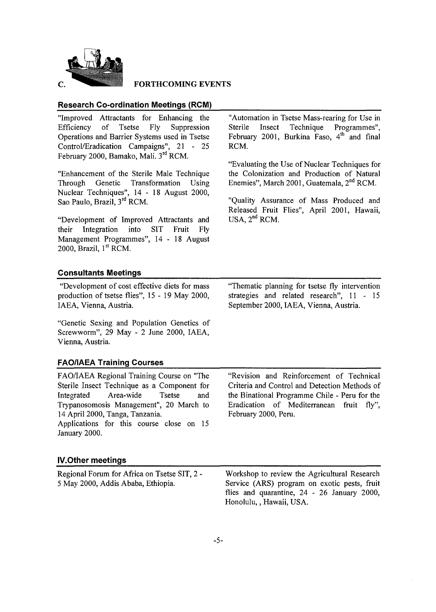

#### **FORTHCOMING EVENTS**

## **Research Co-ordination Meetings (RCM)**

"Improved Attractants for Enhancing the Efficiency of Tsetse Fly Suppression Operations and Barrier Systems used in Tsetse Control/Eradication Campaigns", 21 - 25 February 2000, Bamako, Mali. 3<sup>rd</sup> RCM.

"Enhancement of the Sterile Male Technique Through Genetic Transformation Using Nuclear Techniques", 14-1 8 August 2000, Sao Paulo, Brazil, 3<sup>rd</sup> RCM.

"Development of Improved Attractants and their Integration into SIT Fruit Fly Management Programmes", 14 - 18 August 2000, Brazil, 1<sup>st</sup> RCM.

"Automation in Tsetse Mass-rearing for Use in Sterile Insect Technique Programmes", February 2001, Burkina Faso, 4<sup>th</sup> and final RCM.

"Evaluating the Use of Nuclear Techniques for the Colonization and Production of Natural Enemies", March 2001, Guatemala, 2<sup>nd</sup> RCM.

"Quality Assurance of Mass Produced and Released Fruit Flies", April 2001, Hawaii,  $USA, 2<sup>nd</sup> RCM.$ 

#### **Consultants Meetings**

"Development of cost effective diets for mass production of tsetse flies", 15-19 May 2000, IAEA, Vienna, Austria.

"Genetic Sexing and Population Genetics of Screwworm", 29 May - 2 June 2000, IAEA, Vienna, Austria.

**FAO/IAEA Training Courses**

| FAO/IAEA Regional Training Course on "The                 | "Revision and Reinforcement of Technical      |
|-----------------------------------------------------------|-----------------------------------------------|
| Sterile Insect Technique as a Component for               | Criteria and Control and Detection Methods of |
| Integrated Area-wide Tsetse<br>and                        | the Binational Programme Chile - Peru for the |
| Trypanosomosis Management", 20 March to                   | Eradication of Mediterranean fruit fly",      |
| 14 April 2000, Tanga, Tanzania.                           | February 2000, Peru.                          |
| Applications for this course close on 15<br>January 2000. |                                               |
|                                                           |                                               |

## **IV.Other meetings**

Regional Forum for Africa on Tsetse SIT, 2 - 5 May 2000, Addis Ababa, Ethiopia. Workshop to review the Agricultural Research Service (ARS) program on exotic pests, fruit flies and quarantine, 24 - 26 January 2000, Honolulu,, Hawaii, USA.

"Thematic planning for tsetse fly intervention strategies and related research", 11 - 15 September 2000, IAEA, Vienna, Austria.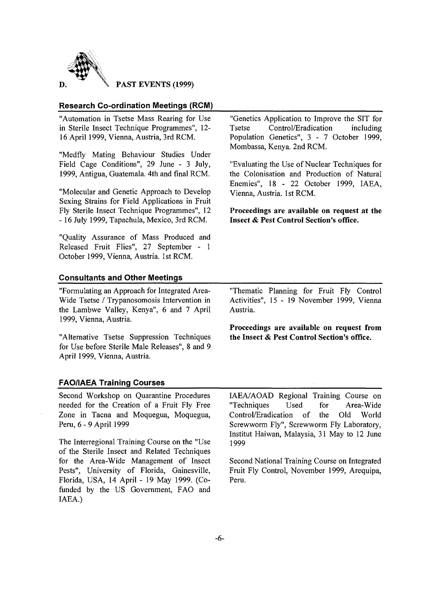

**PAST EVENTS (1999)**

## **Research Co-ordination Meetings (RCM)**

"Automation in Tsetse Mass Rearing for Use in Sterile Insect Technique Programmes", 12- 16 April 1999, Vienna, Austria, 3rd RCM. "Medfly Mating Behaviour Studies Under Field Cage Conditions", 29 June - 3 July, 1999, Antigua, Guatemala. 4th and final RCM. "Molecular and Genetic Approach to Develop Sexing Strains for Field Applications in Fruit Fly Sterile Insect Technique Programmes", 12 - 16 July 1999, Tapachula, Mexico, 3rd RCM. "Quality Assurance of Mass Produced and Released Fruit Flies", 27 September - 1 October 1999, Vienna, Austria. 1st RCM. "Genetics Application to Improve the SIT for<br>Tsetse Control/Eradication including Control/Eradication including Population Genetics", 3 - 7 October 1999, Mombassa, Kenya. 2nd RCM. "Evaluating the Use of Nuclear Techniques for the Colonisation and Production of Natural Enemies", 18-2 2 October 1999, IAEA, Vienna, Austria. 1 st RCM. **Proceedings are available on request at the Insect & Pest Control Section's office. Consultants and Other Meetings** "Formulating an Approach for Integrated Area-Wide Tsetse / Trypanosomosis Intervention in the Lambwe Valley, Kenya", 6 and 7 April 1999, Vienna, Austria. "Alternative Tsetse Suppression Techniques for Use before Sterile Male Releases", 8 and 9 April 1999, Vienna, Austria. "Thematic Planning for Fruit Fly Control Activities", 15 - 19 November 1999, Vienna Austria. **Proceedings are available on request from the Insect & Pest Control Section's office. FAQ/IAEA Training Courses** Second Workshop on Quarantine Procedures IAEA/AOAD Regional Training Course on

needed for the Creation of a Fruit Fly Free Zone in Tacna and Moquegua, Moquegua, Peru, 6 - 9 April 1999

The Interregional Training Course on the "Use of the Sterile Insect and Related Techniques for the Area-Wide Management of Insect Pests", University of Florida, Gainesville, Florida, USA, 14 April - 19 May 1999. (Cofunded by the US Government, FAO and IAEA.)

"Techniques Used for Area-Wide Control/Eradication of the Old World Screwworm Fly", Screwworm Fly Laboratory, Institut Haiwan, Malaysia, 31 May to 12 June 1999

Second National Training Course on Integrated Fruit Fly Control, November 1999, Arequipa, Peru.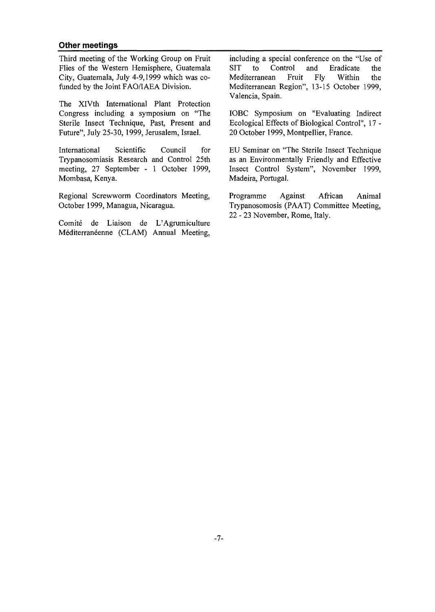### Other meetings

Third meeting of the Working Group on Fruit Flies of the Western Hemisphere, Guatemala City, Guatemala, July 4-9,1999 which was cofunded by the Joint FAO/IAEA Division.

The XlVth International Plant Protection Congress including a symposium on "The Sterile Insect Technique, Past, Present and Future", July 25-30, 1999, Jerusalem, Israel.

International Scientific Council for Trypanosomiasis Research and Control 25th meeting, 27 September - 1 October 1999, Mombasa, Kenya.

Regional Screwworm Coordinators Meeting, October 1999, Managua, Nicaragua.

Comite de Liaison de L'Agrumiculture Méditerranéenne (CLAM) Annual Meeting,

including a special conference on the "Use of<br>SIT to Control and Eradicate the SIT to Control and Eradicate the Mediterranean Fruit Fly Within the Mediterranean Region", 13-15 October 1999, Valencia, Spain.

IOBC Symposium on "Evaluating Indirect Ecological Effects of Biological Control", 17 - 20 October 1999, Montpellier, France.

EU Seminar on "The Sterile Insect Technique as an Environmentally Friendly and Effective Insect Control System", November 1999, Madeira, Portugal.

Programme Against African Animal Trypanosomosis (PAAT) Committee Meeting, 22 - 23 November, Rome, Italy.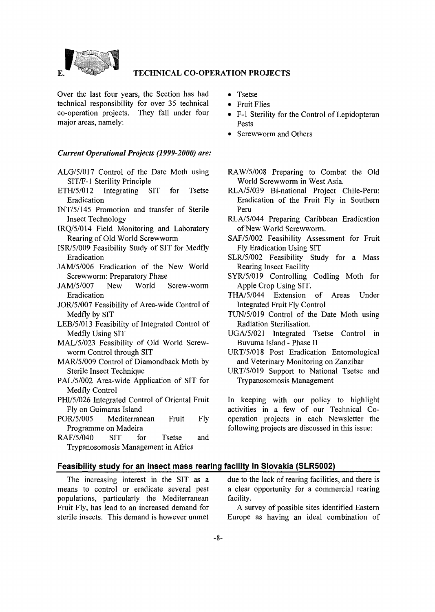

#### **TECHNICAL CO-OPERATION PROJECTS**

Over the last four years, the Section has had technical responsibility for over 35 technical co-operation projects. They fall under four major areas, namely:

#### *Current Operational Projects (1999-2000) are:*

- ALG/5/017 Control of the Date Moth using SIT/F-1 Sterility Principle
- ETH/5/012 Integrating SIT for Tsetse Eradication
- INT/5/145 Promotion and transfer of Sterile Insect Technology
- IRQ/5/014 Field Monitoring and Laboratory Rearing of Old World Screwworm
- ISR/5/009 Feasibility Study of SIT for Medfly Eradication
- JAM/5/006 Eradication of the New World Screwworm: Preparatory Phase
- JAM/5/007 New World Screw-worm Eradication
- JOR/5/007 Feasibility of Area-wide Control of Medfly by SIT
- LEB/5/013 Feasibility of Integrated Control of Medfly Using SIT
- MAL/5/023 Feasibility of Old World Screwworm Control through SIT
- MAR/5/009 Control of Diamondback Moth by Sterile Insect Technique
- PAL/5/002 Area-wide Application of SIT for Medfly Control
- PHI/5/026 Integrated Control of Oriental Fruit Fly on Guimaras Island
- POR/5/005 Mediterranean Fruit Fly Programme on Madeira
- RAF/5/040 SIT for Tsetse and Trypanosomosis Management in Africa
- Tsetse
- Fruit Flies
- F-l Sterility for the Control of Lepidopteran Pests
- Screwworm and Others
- RAW/5/008 Preparing to Combat the Old World Screwworm in West Asia.
- RLA/5/039 Bi-national Project Chile-Peru: Eradication of the Fruit Fly in Southern Peru
- RLA/5/044 Preparing Caribbean Eradication of New World Screwworm.
- SAF/5/002 Feasibility Assessment for Fruit Fly Eradication Using SIT
- SLR/5/002 Feasibility Study for a Mass Rearing Insect Facility
- SYR/5/019 Controlling Codling Moth for Apple Crop Using SIT.
- THA/5/044 Extension of Areas Under Integrated Fruit Fly Control
- TUN/5/019 Control of the Date Moth using Radiation Sterilisation.
- UG A/5/021 Integrated Tsetse Control in Buvuma Island - Phase II
- URT/5/018 Post Eradication Entomological and Veterinary Monitoring on Zanzibar
- URT/5/019 Support to National Tsetse and Trypanosomosis Management

In keeping with our policy to highlight activities in a few of our Technical Cooperation projects in each Newsletter the following projects are discussed in this issue:

#### **Feasibility study for an insect mass rearing facility in Slovakia (SLR5002)**

The increasing interest in the SIT as a means to control or eradicate several pest populations, particularly the Mediterranean Fruit Fly, has lead to an increased demand for sterile insects. This demand is however unmet due to the lack of rearing facilities, and there is a clear opportunity for a commercial rearing facility.

A survey of possible sites identified Eastern Europe as having an ideal combination of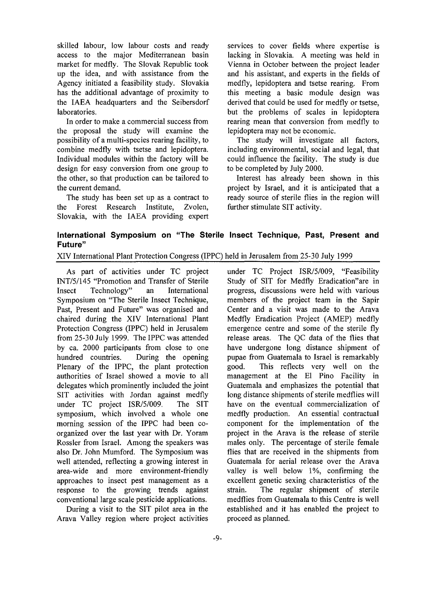skilled labour, low labour costs and ready access to the major Mediterranean basin market for medfly. The Slovak Republic took up the idea, and with assistance from the Agency initiated a feasibility study. Slovakia has the additional advantage of proximity to the IAEA headquarters and the Seibersdorf laboratories.

In order to make a commercial success from the proposal the study will examine the possibility of a multi-species rearing facility, to combine medfly with tsetse and lepidoptera. Individual modules within the factory will be design for easy conversion from one group to the other, so that production can be tailored to the current demand.

The study has been set up as a contract to the Forest Research Institute, Zvolen, Slovakia, with the IAEA providing expert services to cover fields where expertise is lacking in Slovakia. A meeting was held in Vienna in October between the project leader and his assistant, and experts in the fields of medfly, lepidoptera and tsetse rearing. From this meeting a basic module design was derived that could be used for medfly or tsetse, but the problems of scales in lepidoptera rearing mean that conversion from medfly to lepidoptera may not be economic.

The study will investigate all factors, including environmental, social and legal, that could influence the facility. The study is due to be completed by July 2000.

Interest has already been shown in this project by Israel, and it is anticipated that a ready source of sterile flies in the region will further stimulate SIT activity.

## **International Symposium on "The Sterile Insect Technique, Past, Present and Future"**

XIV International Plant Protection Congress (IPPC) held in Jerusalem from 25-30 July 1999

As part of activities under TC project INT/5/145 "Promotion and Transfer of Sterile Insect Technology" an International Symposium on "The Sterile Insect Technique, Past, Present and Future" was organised and chaired during the XIV International Plant Protection Congress (IPPC) held in Jerusalem from 25-30 July 1999. The IPPC was attended by ca. 2000 participants from close to one hundred countries. During the opening Plenary of the IPPC, the plant protection authorities of Israel showed a movie to all delegates which prominently included the joint SIT activities with Jordan against medfly under TC project ISR/5/009. The SIT symposium, which involved a whole one morning session of the IPPC had been coorganized over the last year with Dr. Yoram Rossler from Israel. Among the speakers was also Dr. John Mumford. The Symposium was well attended, reflecting a growing interest in area-wide and more environment-friendly approaches to insect pest management as a response to the growing trends against conventional large scale pesticide applications.

During a visit to the SIT pilot area in the Arava Valley region where project activities

under TC Project ISR/5/009, "Feasibility Study of SIT for Medfly Eradication"are in progress, discussions were held with various members of the project team in the Sapir Center and a visit was made to the Arava Medfly Eradication Project (AMEP) medfly emergence centre and some of the sterile fly release areas. The QC data of the flies that have undergone long distance shipment of pupae from Guatemala to Israel is remarkably good. This reflects very well on the management at the El Pino Facility in Guatemala and emphasizes the potential that long distance shipments of sterile medflies will have on the eventual commercialization of medfly production. An essential contractual component for the implementation of the project in the Arava is the release of sterile males only. The percentage of sterile female flies that are received in the shipments from Guatemala for aerial release over the Arava valley is well below 1%, confirming the excellent genetic sexing characteristics of the strain. The regular shipment of sterile medflies from Guatemala to this Centre is well established and it has enabled the project to proceed as planned.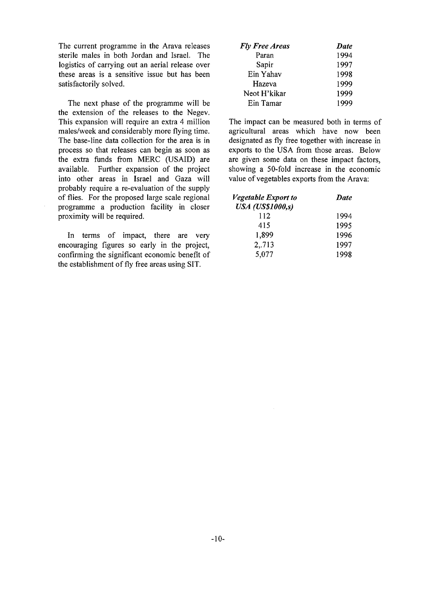The current programme in the Arava releases sterile males in both Jordan and Israel. The logistics of carrying out an aerial release over these areas is a sensitive issue but has been satisfactorily solved.

The next phase of the programme will be the extension of the releases to the Negev. This expansion will require an extra 4 million males/week and considerably more flying time. The base-line data collection for the area is in process so that releases can begin as soon as the extra funds from MERC (USAID) are available. Further expansion of the project into other areas in Israel and Gaza will probably require a re-evaluation of the supply of flies. For the proposed large scale regional programme a production facility in closer proximity will be required.

In terms of impact, there are very encouraging figures so early in the project, confirming the significant economic benefit of the establishment of fly free areas using SIT.

| <b>Fly Free Areas</b> | Date |
|-----------------------|------|
| Paran                 | 1994 |
| Sapir                 | 1997 |
| Ein Yahav             | 1998 |
| Hazeva                | 1999 |
| Neot H'kikar          | 1999 |
| Ein Tamar             | 1999 |

The impact can be measured both in terms of agricultural areas which have now been designated as fly free together with increase in exports to the USA from those areas. Below are given some data on these impact factors, showing a 50-fold increase in the economic value of vegetables exports from the Arava:

| <i>Vegetable Export to</i>       | Date |
|----------------------------------|------|
| <b>USA</b> ( <b>US\$1000</b> ,s) |      |
| 112                              | 1994 |
| 415                              | 1995 |
| 1,899                            | 1996 |
| 2,.713                           | 1997 |
| 5,077                            | 1998 |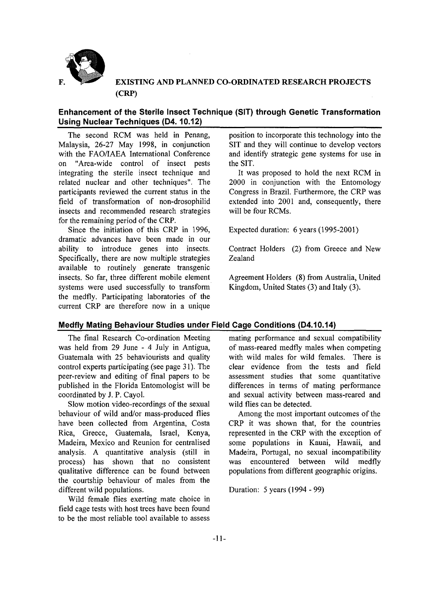

## *^* **EXISTING AND PLANNED CO-ORDINATED RESEARCH PROJECTS (CRP)**

## **Enhancement of the Sterile Insect Technique (SIT) through Genetic Transformation Using Nuclear Techniques (D4.10.12)**

The second RCM was held in Penang, Malaysia, 26-27 May 1998, in conjunction with the FAO/IAEA International Conference on "Area-wide control of insect pests integrating the sterile insect technique and related nuclear and other techniques". The participants reviewed the current status in the field of transformation of non-drosophilid insects and recommended research strategies for the remaining period of the CRP.

Since the initiation of this CRP in 1996, dramatic advances have been made in our ability to introduce genes into insects. Specifically, there are now multiple strategies available to routinely generate transgenic insects. So far, three different mobile element systems were used successfully to transform the medfly. Participating laboratories of the current CRP are therefore now in a unique

position to incorporate this technology into the SIT and they will continue to develop vectors and identify strategic gene systems for use in the SIT.

It was proposed to hold the next RCM in 2000 in conjunction with the Entomology Congress in Brazil. Furthermore, the CRP was extended into 2001 and, consequently, there will be four RCMs.

Expected duration: 6 years (1995-2001)

Contract Holders (2) from Greece and New Zealand

Agreement Holders (8) from Australia, United Kingdom, United States (3) and Italy (3).

## **Medfly Mating Behaviour Studies under Field Cage Conditions (D4.10.14)**

The final Research Co-ordination Meeting was held from 29 June - 4 July in Antigua, Guatemala with 25 behaviourists and quality control experts participating (see page 31). The peer-review and editing of final papers to be published in the Florida Entomologist will be coordinated by J. P. Cayol.

Slow motion video-recordings of the sexual behaviour of wild and/or mass-produced flies have been collected from Argentina, Costa Rica, Greece, Guatemala, Israel, Kenya, Madeira, Mexico and Reunion for centralised analysis. A quantitative analysis (still in process) has shown that no consistent qualitative difference can be found between the courtship behaviour of males from the different wild populations.

Wild female flies exerting mate choice in field cage tests with host trees have been found to be the most reliable tool available to assess

mating performance and sexual compatibility of mass-reared medfly males when competing with wild males for wild females. There is clear evidence from the tests and field assessment studies that some quantitative differences in terms of mating performance and sexual activity between mass-reared and wild flies can be detected.

Among the most important outcomes of the CRP it was shown that, for the countries represented in the CRP with the exception of some populations in Kauai, Hawaii, and Madeira, Portugal, no sexual incompatibility was encountered between wild medfly populations from different geographic origins.

Duration: 5 years (1994 - 99)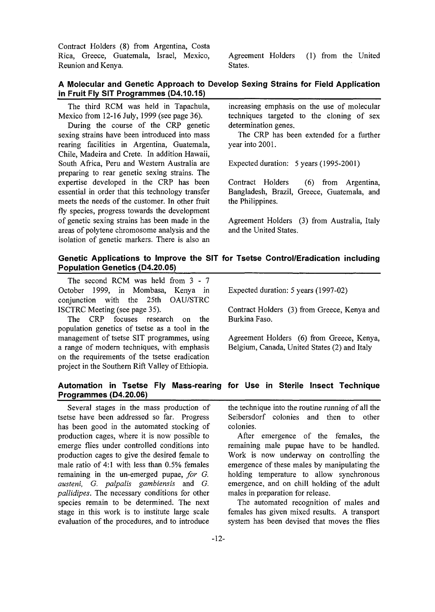Contract Holders (8) from Argentina, Costa Rica, Greece, Guatemala, Israel, Mexico, Reunion and Kenya.

Agreement Holders (1) from the United States.

## **A Molecular and Genetic Approach to Develop Sexing Strains for Field Application in Fruit Fly SIT Programmes (D4.10.15)**

The third RCM was held in Tapachula, Mexico from 12-16 July, 1999 (see page 36).

During the course of the CRP genetic sexing strains have been introduced into mass rearing facilities in Argentina, Guatemala, Chile, Madeira and Crete. In addition Hawaii, South Africa, Peru and Western Australia are preparing to rear genetic sexing strains. The expertise developed in the CRP has been essential in order that this technology transfer meets the needs of the customer. In other fruit fly species, progress towards the development of genetic sexing strains has been made in the areas of polytene chromosome analysis and the isolation of genetic markers. There is also an

increasing emphasis on the use of molecular techniques targeted to the cloning of sex determination genes.

The CRP has been extended for a further year into 2001.

Expected duration: 5 years (1995-2001)

Contract Holders (6) from Argentina, Bangladesh, Brazil, Greece, Guatemala, and the Philippines.

Agreement Holders (3) from Australia, Italy and the United States.

## **Genetic Applications to Improve the SIT for Tsetse Control/Eradication including Population Genetics (D4.20.05)**

The second RCM was held from 3 - 7 October 1999, in Mombasa, Kenya in conjunction with the 25th OAU/STRC ISCTRC Meeting (see page 35).

The CRP focuses research on the population genetics of tsetse as a tool in the management of tsetse SIT programmes, using a range of modern techniques, with emphasis on the requirements of the tsetse eradication project in the Southern Rift Valley of Ethiopia.

Expected duration: 5 years (1997-02)

Contract Holders (3) from Greece, Kenya and Burkina Faso.

Agreement Holders (6) from Greece, Kenya, Belgium, Canada, United States (2) and Italy

## **Automation in Tsetse Fly Mass-rearing for Use in Sterile Insect Technique Programmes (D4.20.06)**

Several stages in the mass production of tsetse have been addressed so far. Progress has been good in the automated stocking of production cages, where it is now possible to emerge flies under controlled conditions into production cages to give the desired female to male ratio of 4:1 with less than 0.5% females remaining in the un-emerged pupae, *for G. austeni, G. palpalis gambiensis* and *G. pallidipes.* The necessary conditions for other species remain to be determined. The next stage in this work is to institute large scale evaluation of the procedures, and to introduce

the technique into the routine running of all the Seibersdorf colonies and then to other colonies.

After emergence of the females, the remaining male pupae have to be handled. Work is now underway on controlling the emergence of these males by manipulating the holding temperature to allow synchronous emergence, and on chill holding of the adult males in preparation for release.

The automated recognition of males and females has given mixed results. A transport system has been devised that moves the flies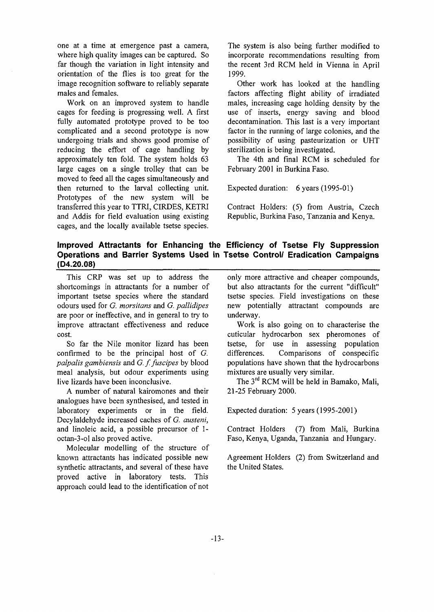one at a time at emergence past a camera, where high quality images can be captured. So far though the variation in light intensity and orientation of the flies is too great for the image recognition software to reliably separate males and females.

Work on an improved system to handle cages for feeding is progressing well. A first fully automated prototype proved to be too complicated and a second prototype is now undergoing trials and shows good promise of reducing the effort of cage handling by approximately ten fold. The system holds 63 large cages on a single trolley that can be moved to feed all the cages simultaneously and then returned to the larval collecting unit. Prototypes of the new system will be transferred this year to TTRI, CIRDES, KETRI and Addis for field evaluation using existing cages, and the locally available tsetse species. The system is also being further modified to incorporate recommendations resulting from the recent 3rd RCM held in Vienna in April 1999.

Other work has looked at the handling factors affecting flight ability of irradiated males, increasing cage holding density by the use of inserts, energy saving and blood decontamination. This last is a very important factor in the running of large colonies, and the possibility of using pasteurization or UHT sterilization is being investigated.

The 4th and final RCM is scheduled for February 2001 in Burkina Faso.

Expected duration: 6 years (1995-01)

Contract Holders: (5) from Austria, Czech Republic, Burkina Faso, Tanzania and Kenya.

## **Improved Attractants for Enhancing the Efficiency of Tsetse Fly Suppression Operations and Barrier Systems Used in Tsetse Control/ Eradication Campaigns (D4.20.08)**

This CRP was set up to address the shortcomings in attractants for a number of important tsetse species where the standard odours used for *G. morsitans* and *G. pallidipes* are poor or ineffective, and in general to try to improve attractant effectiveness and reduce cost.

So far the Nile monitor lizard has been confirmed to be the principal host of *G. palpalis gambiensis* and *G. f.fuscipes* by blood meal analysis, but odour experiments using live lizards have been inconclusive.

A number of natural kairomones and their analogues have been synthesised, and tested in laboratory experiments or in the field. Decylaldehyde increased caches of *G. austeni,* and linoleic acid, a possible precursor of 1 octan-3-ol also proved active.

Molecular modelling of the structure of known attractants has indicated possible new synthetic attractants, and several of these have proved active in laboratory tests. This approach could lead to the identification of not only more attractive and cheaper compounds, but also attractants for the current "difficult" tsetse species. Field investigations on these new potentially attractant compounds are underway.

Work is also going on to characterise the cuticular hydrocarbon sex pheromones of tsetse, for use in assessing population differences. Comparisons of conspecific populations have shown that the hydrocarbons mixtures are usually very similar.

The 3<sup>rd</sup> RCM will be held in Bamako, Mali, 21-25 February 2000.

Expected duration: 5 years (1995-2001)

Contract Holders (7) from Mali, Burkina Faso, Kenya, Uganda, Tanzania and Hungary.

Agreement Holders (2) from Switzerland and the United States.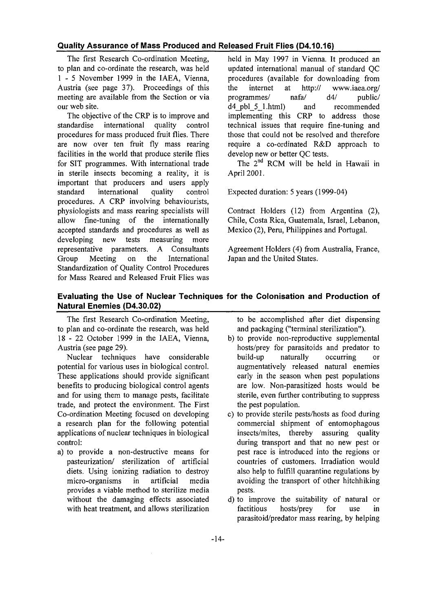## **Quality Assurance of Mass Produced and Released Fruit Flies (D4.10.16)**

The first Research Co-ordination Meeting, to plan and co-ordinate the research, was held 1 - 5 November 1999 in the IAEA, Vienna, Austria (see page 37). Proceedings of this meeting are available from the Section or via our web site.

The objective of the CRP is to improve and standardise international quality control procedures for mass produced fruit flies. There are now over ten fruit fly mass rearing facilities in the world that produce sterile flies for SIT programmes. With international trade in sterile insects becoming a reality, it is important that producers and users apply standard international quality control procedures. A CRP involving behaviourists, physiologists and mass rearing specialists will allow fine-tuning of the internationally accepted standards and procedures as well as developing new tests measuring more representative parameters. A Consultants Group Meeting on the International Standardization of Quality Control Procedures for Mass Reared and Released Fruit Flies was held in May 1997 in Vienna. It produced an updated international manual of standard QC procedures (available for downloading from the internet at http:// www.iaea.org/ programmes/ nafa/ d4/ public/ d4\_pbl\_5\_l.html) and recommended implementing this CRP to address those technical issues that require fine-tuning and those that could not be resolved and therefore require a co-ordinated R&D approach to develop new or better QC tests.

The 2<sup>nd</sup> RCM will be held in Hawaii in April 2001.

Expected duration: 5 years (1999-04)

Contract Holders (12) from Argentina (2), Chile, Costa Rica, Guatemala, Israel, Lebanon, Mexico (2), Peru, Philippines and Portugal.

Agreement Holders (4) from Australia, France, Japan and the United States.

## **Evaluating the Use of Nuclear Techniques for the Colonisation and Production of Natural Enemies (D4.30.02)**

The first Research Co-ordination Meeting, to plan and co-ordinate the research, was held 18-2 2 October 1999 in the IAEA, Vienna, Austria (see page 29).

Nuclear techniques have considerable potential for various uses in biological control. These applications should provide significant benefits to producing biological control agents and for using them to manage pests, facilitate trade, and protect the environment. The First Co-ordination Meeting focused on developing a research plan for the following potential applications of nuclear techniques in biological control:

a) to provide a non-destructive means for pasteurization/ sterilization of artificial diets. Using ionizing radiation to destroy micro-organisms in artificial media provides a viable method to sterilize media without the damaging effects associated with heat treatment, and allows sterilization to be accomplished after diet dispensing and packaging ("terminal sterilization").

- b) to provide non-reproductive supplemental hosts/prey for parasitoids and predator to build-up naturally occurring or augmentatively released natural enemies early in the season when pest populations are low. Non-parasitized hosts would be sterile, even further contributing to suppress the pest population.
- c) to provide sterile pests/hosts as food during commercial shipment of entomophagous insects/mites, thereby assuring quality during transport and that no new pest or pest race is introduced into the regions or countries of customers. Irradiation would also help to fulfill quarantine regulations by avoiding the transport of other hitchhiking pests.
- d) to improve the suitability of natural or factitious hosts/prey for use in parasitoid/predator mass rearing, by helping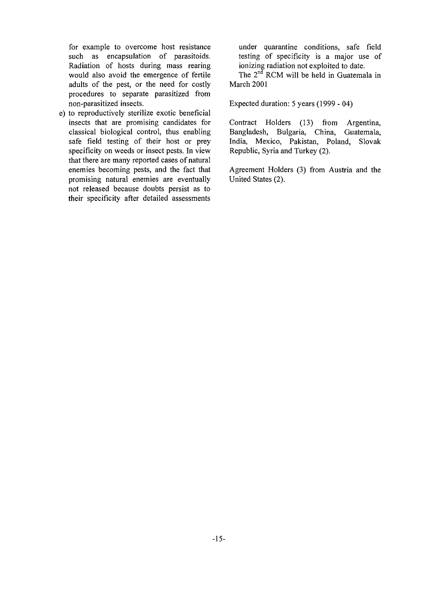for example to overcome host resistance such as encapsulation of parasitoids. Radiation of hosts during mass rearing would also avoid the emergence of fertile adults of the pest, or the need for costly procedures to separate parasitized from non-parasitized insects.

e) to reproductively sterilize exotic beneficial insects that are promising candidates for classical biological control, thus enabling safe field testing of their host or prey specificity on weeds or insect pests. In view that there are many reported cases of natural enemies becoming pests, and the fact that promising natural enemies are eventually not released because doubts persist as to their specificity after detailed assessments

under quarantine conditions, safe field testing of specificity is a major use of ionizing radiation not exploited to date.

The 2<sup>nd</sup> RCM will be held in Guatemala in March 2001

Expected duration: 5 years (1999 - 04)

Contract Holders (13) from Argentina, Bangladesh, Bulgaria, China, Guatemala, India, Mexico, Pakistan, Poland, Slovak Republic, Syria and Turkey (2).

Agreement Holders (3) from Austria and the United States (2).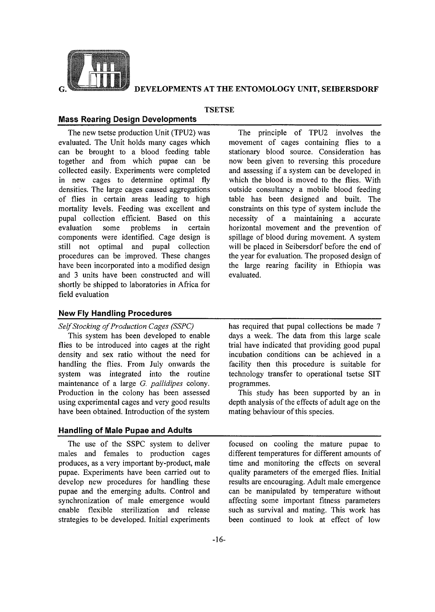

## **DEVELOPMENTS AT THE ENTOMOLOGY UNIT, SEIBERSDORF**

#### **TSETSE**

#### Mass Rearing Design Developments

The new tsetse production Unit (TPU2) was evaluated. The Unit holds many cages which can be brought to a blood feeding table together and from which pupae can be collected easily. Experiments were completed in new cages to determine optimal fly densities. The large cages caused aggregations of flies in certain areas leading to high mortality levels. Feeding was excellent and pupal collection efficient. Based on this evaluation some problems in certain components were identified. Cage design is still not optimal and pupal collection procedures can be improved. These changes have been incorporated into a modified design and 3 units have been constructed and will shortly be shipped to laboratories in Africa for field evaluation

The principle of TPU2 involves the movement of cages containing flies to a stationary blood source. Consideration has now been given to reversing this procedure and assessing if a system can be developed in which the blood is moved to the flies. With outside consultancy a mobile blood feeding table has been designed and built. The constraints on this type of system include the necessity of a maintaining a accurate horizontal movement and the prevention of spillage of blood during movement. A system will be placed in Seibersdorf before the end of the year for evaluation. The proposed design of the large rearing facility in Ethiopia was evaluated.

#### **New Fly Handling Procedures**

*Self Stocking of Production Cages (SSPC)*

This system has been developed to enable flies to be introduced into cages at the right density and sex ratio without the need for handling the flies. From July onwards the system was integrated into the routine maintenance of a large *G. pallidipes* colony. Production in the colony has been assessed using experimental cages and very good results have been obtained. Introduction of the system

## **Handling of Male Pupae and Adults**

The use of the SSPC system to deliver males and females to production cages produces, as a very important by-product, male pupae. Experiments have been carried out to develop new procedures for handling these pupae and the emerging adults. Control and synchronization of male emergence would enable flexible sterilization and release strategies to be developed. Initial experiments

has required that pupal collections be made 7 days a week. The data from this large scale trial have indicated that providing good pupal incubation conditions can be achieved in a facility then this procedure is suitable for technology transfer to operational tsetse SIT programmes.

This study has been supported by an in depth analysis of the effects of adult age on the mating behaviour of this species.

focused on cooling the mature pupae to different temperatures for different amounts of time and monitoring the effects on several quality parameters of the emerged flies. Initial results are encouraging. Adult male emergence can be manipulated by temperature without affecting some important fitness parameters such as survival and mating. This work has been continued to look at effect of low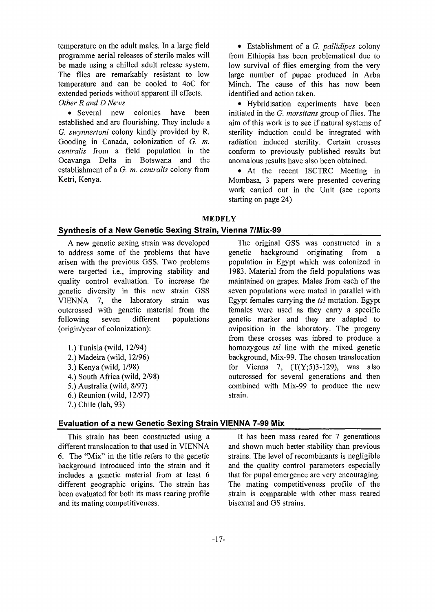temperature on the adult males. In a large field programme aerial releases of sterile males will be made using a chilled adult release system. The flies are remarkably resistant to low temperature and can be cooled to 4oC for extended periods without apparent ill effects. *Other R and D News*

• Several new colonies have been established and are flourishing. They include a *G. swynnertoni* colony kindly provided by R. Gooding in Canada, colonization of *G. m. centralis* from a field population in the Ocavanga Delta in Botswana and the establishment of a *G. m. centralis* colony from Ketri, Kenya.

• Establishment of a *G. pallidipes* colony from Ethiopia has been problematical due to low survival of flies emerging from the very large number of pupae produced in Arba Minch. The cause of this has now been identified and action taken.

• Hybridisation experiments have been initiated in the *G. morsitans* group of flies. The aim of this work is to see if natural systems of sterility induction could be integrated with radiation induced sterility. Certain crosses conform to previously published results but anomalous results have also been obtained.

• At the recent ISCTRC Meeting in Mombasa, 3 papers were presented covering work carried out in the Unit (see reports starting on page 24)

MEDFLY

#### Synthesis of a New Genetic Sexing Strain, Vienna 7/Mix-99

A new genetic sexing strain was developed to address some of the problems that have arisen with the previous GSS. Two problems were targetted i.e., improving stability and quality control evaluation. To increase the genetic diversity in this new strain GSS VIENNA 7, the laboratory strain was outcrossed with genetic material from the following seven different populations (origin/year of colonization):

- 1.) Tunisia (wild, 12/94) 2.) Madeira (wild, 12/96) 3.) Kenya (wild, 1/98) 4.) South Africa (wild, 2/98) 5.) Australia (wild, 8/97) 6.) Reunion (wild, 12/97)
- 7.) Chile (lab, 93)

The original GSS was constructed in a genetic background originating from a population in Egypt which was colonized in 1983. Material from the field populations was maintained on grapes. Males from each of the seven populations were mated in parallel with Egypt females carrying the *tsl* mutation. Egypt females were used as they carry a specific genetic marker and they are adapted to oviposition in the laboratory. The progeny from these crosses was inbred to produce a homozygous *tsl* line with the mixed genetic background, Mix-99. The chosen translocation for Vienna 7,  $(T(Y;5)3-129)$ , was also outcrossed for several generations and then combined with Mix-99 to produce the new strain.

#### Evaluation of a new Genetic Sexing Strain VIENNA 7-99 Mix

This strain has been constructed using a different translocation to that used in VIENNA 6. The "Mix" in the title refers to the genetic background introduced into the strain and it includes a genetic material from at least 6 different geographic origins. The strain has been evaluated for both its mass rearing profile and its mating competitiveness.

It has been mass reared for 7 generations and shown much better stability than previous strains. The level of recombinants is negligible and the quality control parameters especially that for pupal emergence are very encouraging. The mating competitiveness profile of the strain is comparable with other mass reared bisexual and GS strains.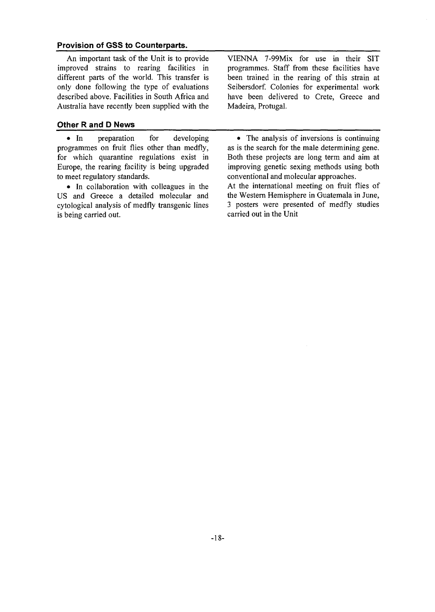#### **Provision of GSS to Counterparts.**

An important task, of the Unit is to provide improved strains to rearing facilities in different parts of the world. This transfer is only done following the type of evaluations described above. Facilities in South Africa and Australia have recently been supplied with the

#### **Other R and D News**

• In preparation for developing programmes on fruit flies other than medfly, for which quarantine regulations exist in Europe, the rearing facility is being upgraded to meet regulatory standards.

• In collaboration with colleagues in the US and Greece a detailed molecular and cytological analysis of medfly transgenic lines is being carried out.

VIENNA 7-99Mix for use in their SIT programmes. Staff from these facilities have been trained in the rearing of this strain at Seibersdorf. Colonies for experimental work have been delivered to Crete, Greece and Madeira, Protugal.

• The analysis of inversions is continuing as is the search for the male determining gene. Both these projects are long term and aim at improving genetic sexing methods using both conventional and molecular approaches. At the international meeting on fruit flies of the Western Hemisphere in Guatemala in June, 3 posters were presented of medfly studies carried out in the Unit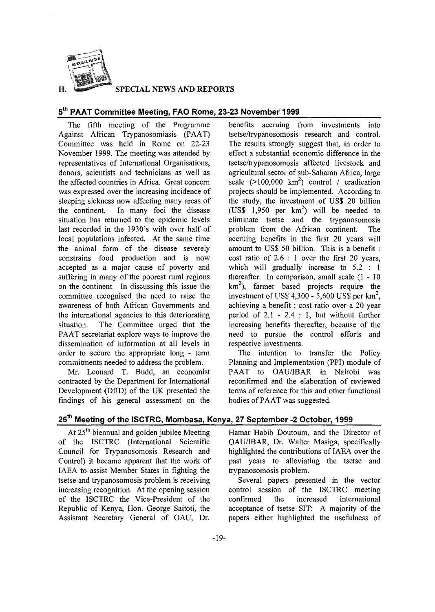

**SPECIAL NEWS AND REPORTS**

## **-th 5 PAAT Committee Meeting, FAQ Rome, 23-23 November 1999**

The fifth meeting of the Programme Against African Trypanosomiasis (PAAT) Committee was held in Rome on 22-23 November 1999. The meeting was attended by representatives of International Organisations, donors, scientists and technicians as well as the affected countries in Africa. Great concern was expressed over the increasing incidence of sleeping sickness now affecting many areas of the continent. In many foci the disease situation has returned to the epidemic levels last recorded in the 1930's with over half of local populations infected. At the same time the animal form of the disease severely constrains food production and is now accepted as a major cause of poverty and suffering in many of the poorest rural regions on the continent. In discussing this issue the committee recognised the need to raise the awareness of both African Governments and the international agencies to this deteriorating situation. The Committee urged that the PAAT secretariat explore ways to improve the dissemination of information at all levels in order to secure the appropriate long - term commitments needed to address the problem.

Mr. Leonard T. Budd, an economist contracted by the Department for International Development (DfID) of the UK presented the findings of his general assessment on the

benefits accruing from investments into tsetse/trypanosomosis research and control. The results strongly suggest that, in order to effect a substantial economic difference in the tsetse/trypanosomosis affected livestock and agricultural sector of sub-Saharan Africa, large scale  $(>100,000 \text{ km}^2)$  control / eradication projects should be implemented. According to the study, the investment of US\$ 20 billion (US\$ 1,950 per  $km^2$ ) will be needed to eliminate tsetse and the trypanosomosis problem from the African continent. The accruing benefits in the first 20 years will amount to US\$ 50 billion. This is a benefit : cost ratio of 2.6 : 1 over the first 20 years, which will gradually increase to 5.2 : 1 thereafter. In comparison, small scale  $(1 - 10)$  $km<sup>2</sup>$ ), farmer based projects require the investment of US\$ 4,300 - 5,600 US\$ per  $km^2$ , achieving a benefit : cost ratio over a 20 year period of 2.1 - 2.4 : 1, but without further increasing benefits thereafter, because of the need to pursue the control efforts and respective investments.

The intention to transfer the Policy Planning and Implementation (PPI) module of PAAT to OAU/IBAR in Nairobi was reconfirmed and the elaboration of reviewed terms of reference for this and other functional bodies of PAAT was suggested.

## **25th Meeting of the ISCTRC, Mombasa, Kenya, 27 September -2 October, 1999**

At 25<sup>th</sup> biennual and golden jubilee Meeting of the ISCTRC (International Scientific Council for Trypanosomosis Research and Control) it became apparent that the work of IAEA to assist Member States in fighting the tsetse and trypanosomosis problem is receiving increasing recognition. At the opening session of the ISCTRC the Vice-President of the Republic of Kenya, Hon. George Saitoti, the Assistant Secretary General of OAU, Dr.

Hamat Habib Doutoum, and the Director of OAU/IBAR, Dr. Walter Masiga, specifically highlighted the contributions of IAEA over the past years to alleviating the tsetse and trypanosomosis problem.

Several papers presented in the vector control session of the ISCTRC meeting confirmed the increased international acceptance of tsetse SIT: A majority of the papers either highlighted the usefulness of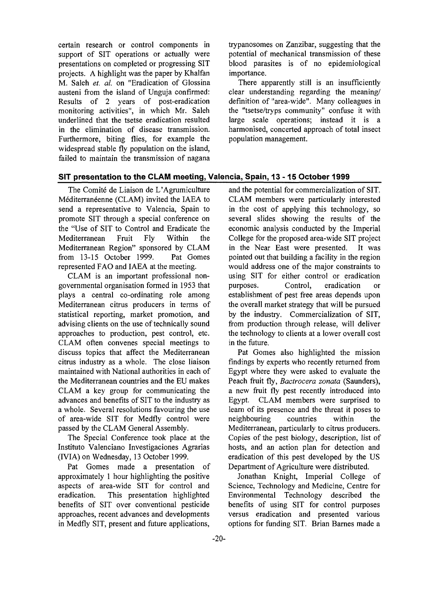certain research or control components in support of SIT operations or actually were presentations on completed or progressing SIT projects. A highlight was the paper by Khalfan M. Saleh *et. al.* on "Eradication of Glossina austeni from the island of Unguja confirmed: Results of 2 years of post-eradication monitoring activities", in which Mr. Saleh underlined that the tsetse eradication resulted in the elimination of disease transmission. Furthermore, biting flies, for example the widespread stable fly population on the island, failed to maintain the transmission of nagana

trypanosomes on Zanzibar, suggesting that the potential of mechanical transmission of these blood parasites is of no epidemiological importance.

There apparently still is an insufficiently clear understanding regarding the meaning/ definition of "area-wide". Many colleagues in the "tsetse/tryps community" confuse it with large scale operations; instead it is a harmonised, concerted approach of total insect population management.

#### **SIT presentation to the CLAM meeting, Valencia, Spain, 13-15 October 1999**

The Comité de Liaison de L'Agrumiculture Méditerranéenne (CLAM) invited the IAEA to send a representative to Valencia, Spain to promote SIT through a special conference on the "Use of SIT to Control and Eradicate the Mediterranean Fruit Fly Within the Mediterranean Region" sponsored by CLAM from 13-15 October 1999. Pat Gomes represented FAO and IAEA at the meeting.

CLAM is an important professional nongovernmental organisation formed in 1953 that plays a central co-ordinating role among Mediterranean citrus producers in terms of statistical reporting, market promotion, and advising clients on the use of technically sound approaches to production, pest control, etc. CLAM often convenes special meetings to discuss topics that affect the Mediterranean citrus industry as a whole. The close liaison maintained with National authorities in each of the Mediterranean countries and the EU makes CLAM a key group for communicating the advances and benefits of SIT to the industry as a whole. Several resolutions favouring the use of area-wide SIT for Medfly control were passed by the CLAM General Assembly.

The Special Conference took place at the Instituto Valenciano Investigaciones Agrarias (IVIA) on Wednesday, 13 October 1999.

Pat Gomes made a presentation of approximately 1 hour highlighting the positive aspects of area-wide SIT for control and eradication. This presentation highlighted benefits of SIT over conventional pesticide approaches, recent advances and developments in Medfly SIT, present and future applications,

and the potential for commercialization of SIT. CLAM members were particularly interested in the cost of applying this technology, so several slides showing the results of the economic analysis conducted by the Imperial College for the proposed area-wide SIT project in the Near East were presented. It was pointed out that building a facility in the region would address one of the major constraints to using SIT for either control or eradication purposes. Control, eradication or establishment of pest free areas depends upon the overall market strategy that will be pursued by the industry. Commercialization of SIT, from production through release, will deliver the technology to clients at a lower overall cost in the future.

Pat Gomes also highlighted the mission findings by experts who recently returned from Egypt where they were asked to evaluate the Peach fruit fly, *Bactrocera zonata* (Saunders), a new fruit fly pest recently introduced into Egypt. CLAM members were surprised to learn of its presence and the threat it poses to neighbouring countries within the Mediterranean, particularly to citrus producers. Copies of the pest biology, description, list of hosts, and an action plan for detection and eradication of this pest developed by the US Department of Agriculture were distributed.

Jonathan Knight, Imperial College of Science, Technology and Medicine, Centre for Environmental Technology described the benefits of using SIT for control purposes versus eradication and presented various options for funding SIT. Brian Barnes made a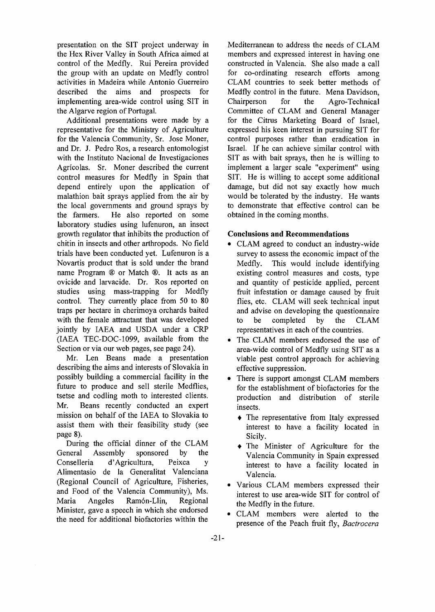presentation on the SIT project underway in the Hex River Valley in South Africa aimed at control of the Medfly. Rui Pereira provided the group with an update on Medfly control activities in Madeira while Antonio Guerreiro described the aims and prospects for implementing area-wide control using SIT in the Algarve region of Portugal.

Additional presentations were made by a representative for the Ministry of Agriculture for the Valencia Community, Sr. Jose Moner, and Dr. J. Pedro Ros, a research entomologist with the Instituto Nacional de Investigaciones Agricolas. Sr. Moner described the current control measures for Medfly in Spain that depend entirely upon the application of malathion bait sprays applied from the air by the local governments and ground sprays by the farmers. He also reported on some laboratory studies using lufenuron, an insect growth regulator that inhibits the production of chitin in insects and other arthropods. No field trials have been conducted yet. Lufenuron is a Novartis product that is sold under the brand name Program ® or Match ®. It acts as an ovicide and larvacide. Dr. Ros reported on studies using mass-trapping for Medfly control. They currently place from 50 to 80 traps per hectare in cherimoya orchards baited with the female attractant that was developed jointly by IAEA and USDA under a CRP (IAEA TEC-DOC-1099, available from the Section or via our web pages, see page 24).

Mr. Len Beans made a presentation describing the aims and interests of Slovakia in possibly building a commercial facility in the future to produce and sell sterile Medflies, tsetse and codling moth to interested clients. Mr. Beans recently conducted an expert mission on behalf of the IAEA to Slovakia to assist them with their feasibility study (see page 8).

During the official dinner of the CLAM General Assembly sponsored by the Conselleria d'Agricultura, Peixca y Alimentasio de la Generalitat Valenciana (Regional Council of Agriculture, Fisheries, and Food of the Valencia Community), Ms. Maria Angeles Ramón-Llin, Regional Minister, gave a speech in which she endorsed the need for additional biofactories within the

Mediterranean to address the needs of CLAM members and expressed interest in having one constructed in Valencia. She also made a call for co-ordinating research efforts among CLAM countries to seek better methods of Medfly control in the future. Mena Davidson, Chairperson for the Agro-Technical Committee of CLAM and General Manager for the Citrus Marketing Board of Israel, expressed his keen interest in pursuing SIT for control purposes rather than eradication in Israel. If he can achieve similar control with SIT as with bait sprays, then he is willing to implement a larger scale "experiment" using SIT. He is willing to accept some additional damage, but did not say exactly how much would be tolerated by the industry. He wants to demonstrate that effective control can be obtained in the coming months.

## **Conclusions and Recommendations**

- CLAM agreed to conduct an industry-wide survey to assess the economic impact of the Medfly. This would include identifying existing control measures and costs, type and quantity of pesticide applied, percent fruit infestation or damage caused by fruit flies, etc. CLAM will seek technical input and advise on developing the questionnaire to be completed by the CLAM representatives in each of the countries.
- The CLAM members endorsed the use of area-wide control of Medfly using SIT as a viable pest control approach for achieving effective suppression.
- There is support amongst CLAM members for the establishment of biofactories for the production and distribution of sterile insects.
	- The representative from Italy expressed interest to have a facility located in Sicily.
	- The Minister of Agriculture for the Valencia Community in Spain expressed interest to have a facility located in Valencia.
- Various CLAM members expressed their interest to use area-wide SIT for control of the Medfly in the future.
- CLAM members were alerted to the presence of the Peach fruit fly, *Bactrocera*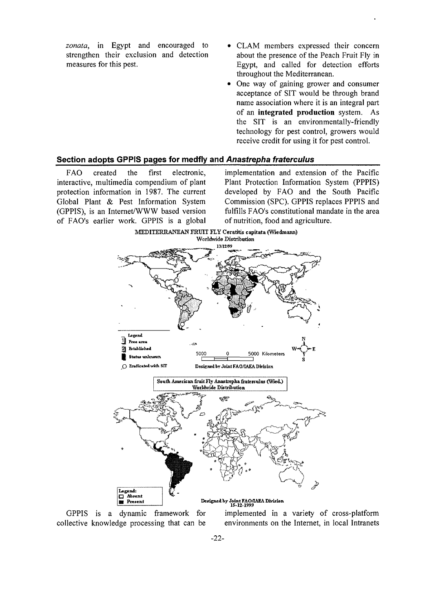*zonata,* in Egypt and encouraged to strengthen their exclusion and detection measures for this pest.

- CLAM members expressed their concern about the presence of the Peach Fruit Fly in Egypt, and called for detection efforts throughout the Mediterranean.
- One way of gaining grower and consumer acceptance of SIT would be through brand name association where it is an integral part of an **integrated production** system. As the SIT is an environmentally-friendly technology for pest control, growers would receive credit for using it for pest control.

### **Section adopts GPPIS pages for medfly and Anastrepha fraterculus**

FAO created the first electronic, interactive, multimedia compendium of plant protection information in 1987. The current Global Plant & Pest Information System (GPPIS), is an Internet/WWW based version of FAO's earlier work. GPPIS is a global

implementation and extension of the Pacific Plant Protection Information System (PPPIS) developed by FAO and the South Pacific Commission (SPC). GPPIS replaces PPPIS and fulfills FAO's constitutional mandate in the area of nutrition, food and agriculture.



GPPIS is a dynamic framework for collective knowledge processing that can be implemented in a variety of cross-platform environments on the Internet, in local Intranets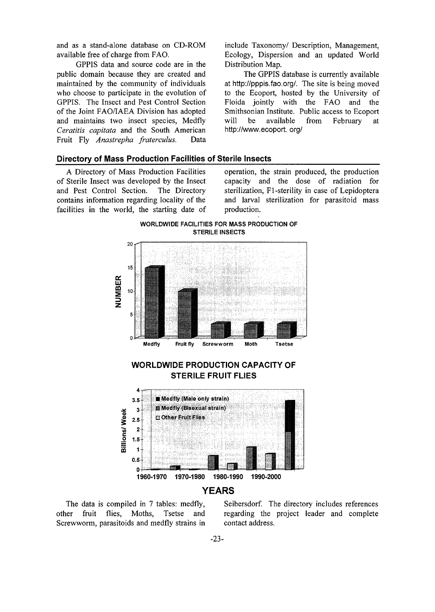and as a stand-alone database on CD-ROM available free of charge from FAO.

GPPIS data and source code are in the public domain because they are created and maintained by the community of individuals who choose to participate in the evolution of GPPIS. The Insect and Pest Control Section of the Joint FAO/IAEA Division has adopted and maintains two insect species, Medfly *Ceratitis capitata* and the South American Fruit Fly *Anastrepha fraterculus.* Data

include Taxonomy/ Description, Management, Ecology, Dispersion and an updated World Distribution Map.

The GPPIS database is currently available at http://pppis.fao.org/. The site is being moved to the Ecoport, hosted by the University of Floida jointly with the FAO and the Smithsonian Institute. Public access to Ecoport will be available from February at http://www. ecoport. org/

#### **Directory of Mass Production Facilities of Sterile Insects**

A Directory of Mass Production Facilities of Sterile Insect was developed by the Insect and Pest Control Section. The Directory contains information regarding locality of the facilities in the world, the starting date of operation, the strain produced, the production capacity and the dose of radiation for sterilization, Fl-sterility in case of Lepidoptera and larval sterilization for parasitoid mass production.



The data is compiled in 7 tables: medfly, other fruit flies, Moths, Tsetse and Screwworm, parasitoids and medfly strains in

Seibersdorf. The directory includes references regarding the project leader and complete contact address.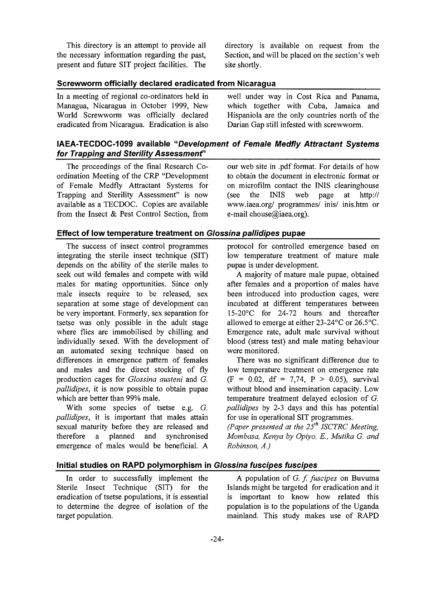This directory is an attempt to provide all the necessary information regarding the past, present and future SIT project facilities. The directory is available on request from the Section, and will be placed on the section's web site shortly.

#### Screwworm officially declared eradicated from Nicaragua

In a meeting of regional co-ordinators held in Managua, Nicaragua in October 1999, New World Screwworm was officially declared eradicated from Nicaragua. Eradication is also

well under way in Cost Rica and Panama, which together with Cuba, Jamaica and Hispaniola are the only countries north of the Darian Gap still infested with screwworm.

## IAEA-TECDOC-1099 available "Development of Female Medfly Attractant Systems for Trapping and Sterility Assessment"

The proceedings of the final Research Coordination Meeting of the CRP "Development of Female Medfly Attractant Systems for Trapping and Sterility Assessment" is now available as a TECDOC. Copies are available from the Insect & Pest Control Section, from

#### Effect of low temperature treatment on Glossina pallidipes pupae

The success of insect control programmes integrating the sterile insect technique (SIT) depends on the ability of the sterile males to seek out wild females and compete with wild males for mating opportunities. Since only male insects require to be released, sex separation at some stage of development can be very important. Formerly, sex separation for tsetse was only possible in the adult stage where flies are immobilised by chilling and individually sexed. With the development of an automated sexing technique based on differences in emergence pattern of females and males and the direct stocking of fly production cages for *Glossina austeni* and *G. pallidipes,* it is now possible to obtain pupae which are better than 99% male.

With some species of tsetse e.g. *G. pallidipes,* it is important that males attain sexual maturity before they are released and therefore a planned and synchronised emergence of males would be beneficial. A

our web site in .pdf format. For details of how to obtain the document in electronic format or on microfilm contact the INIS clearinghouse (see the INIS web page at http:// www.iaea.org/ programmes/ inis/ inis.htm or e-mail chouse@iaea.org).

protocol for controlled emergence based on low temperature treatment of mature male pupae is under development.

A majority of mature male pupae, obtained after females and a proportion of males have been introduced into production cages, were incubated at different temperatures between 15-20°C for 24-72 hours and thereafter allowed to emerge at either 23-24°C or 26.5°C. Emergence rate, adult male survival without blood (stress test) and male mating behaviour were monitored.

There was no significant difference due to low temperature treatment on emergence rate  $(F = 0.02, df = 7.74, P > 0.05)$ , survival without blood and insemination capacity. Low temperature treatment delayed eclosion of G. *pallidipes* by 2-3 days and this has potential for use in operational SIT programmes.

*(Paper presented at the 25th ISCTRC Meeting, Mombasa, Kenya by Opiyo. E., Mutika G. and Robinson, A.)*

## Initial studies on RAPD polymorphism in Glossina fuscipes fuscipes

In order to successfully implement the Sterile Insect Technique (SIT) for the eradication of tsetse populations, it is essential to determine the degree of isolation of the target population.

A population of *G. f. fuscipes* on Buvuma Islands might be targeted for eradication and it is important to know how related this population is to the populations of the Uganda mainland. This study makes use of RAPD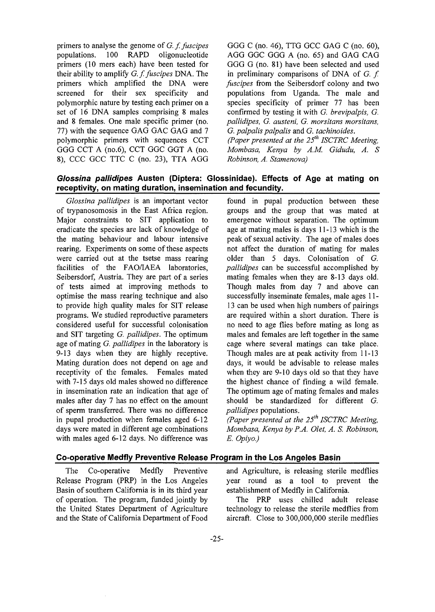primers to analyse the genome of *G. f. fuscipes* populations. 100 RAPD oligonucleotide primers (10 mers each) have been tested for their ability to amplify *G. f. fuscipes* DNA. The primers which amplified the DNA were screened for their sex specificity and polymorphic nature by testing each primer on a set of 16 DNA samples comprising 8 males and 8 females. One male specific primer (no. 77) with the sequence GAG GAC GAG and 7 polymorphic primers with sequences CCT GGG CCT A (no.6), CCT GGC GGT A (no. 8), CCC GCC TTC C (no. 23), TTA AGG

GGG C (no. 46), TTG GCC GAG C (no. 60), AGG GGC GGG A (no. 65) and GAG CAG GGG G (no. 81) have been selected and used in preliminary comparisons of DNA of *G. f. fuscipes* from the Seibersdorf colony and two populations from Uganda. The male and species specificity of primer 77 has been confirmed by testing it with *G. brevipalpis, G. pallidipes, G. austeni, G. morsitans morsitans, G. palpalis palpalis* and *G. tachinoides.*

*(Paper presented at the 25th ISCTRC Meeting, Mombasa, Kenya by A.M. Gidudu, A. S Robinson, A. Stamenova)*

## **Glossina pallidipes Austen (Diptera: Glossinidae). Effects of Age at mating on receptivity, on mating duration, insemination and fecundity.**

*Glossina pallidipes* is an important vector of trypanosomosis in the East Africa region. Major constraints to SIT application to eradicate the species are lack of knowledge of the mating behaviour and labour intensive rearing. Experiments on some of these aspects were carried out at the tsetse mass rearing facilities of the FAO/IAEA laboratories, Seibersdorf, Austria. They are part of a series of tests aimed at improving methods to optimise the mass rearing technique and also to provide high quality males for SIT release programs. We studied reproductive parameters considered useful for successful colonisation and SIT targeting *G. pallidipes.* The optimum age of mating *G. pallidipes* in the laboratory is 9-13 days when they are highly receptive. Mating duration does not depend on age and receptivity of the females. Females mated with 7-15 days old males showed no difference in insemination rate an indication that age of males after day 7 has no effect on the amount of sperm transferred. There was no difference in pupal production when females aged 6-12 days were mated in different age combinations with males aged 6-12 days. No difference was

found in pupal production between these groups and the group that was mated at emergence without separation. The optimum age at mating males is days 11-13 which is the peak of sexual activity. The age of males does not affect the duration of mating for males older than 5 days. Colonisation of *G. pallidipes* can be successful accomplished by mating females when they are 8-13 days old. Though males from day 7 and above can successfully inseminate females, male ages 11- 13 can be used when high numbers of pairings are required within a short duration. There is no need to age flies before mating as long as males and females are left together in the same cage where several matings can take place. Though males are at peak activity from 11-13 days, it would be advisable to release males when they are 9-10 days old so that they have the highest chance of finding a wild female. The optimum age of mating females and males should be standardized for different *G. pallidipes* populations.

*(Paper presented at the 25th ISCTRC Meeting, Mombasa, Kenya by P.A. Olet, A. S. Robinson, E. Opiyo.)*

#### **Co-operative Medfly Preventive Release Program in the Los Angeles Basin**

The Co-operative Medfly Preventive Release Program (PRP) in the Los Angeles Basin of southern California is in its third year of operation. The program, funded jointly by the United States Department of Agriculture and the State of California Department of Food and Agriculture, is releasing sterile medflies year round as a tool to prevent the establishment of Medfly in California.

The PRP uses chilled adult release technology to release the sterile medflies from aircraft. Close to 300,000,000 sterile medflies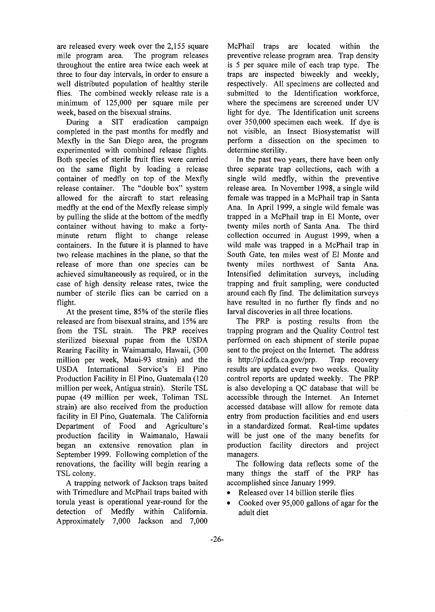are released every week over the 2,155 square mile program area. The program releases throughout the entire area twice each week at three to four day intervals, in order to ensure a well distributed population of healthy sterile flies. The combined weekly release rate is a minimum of 125,000 per square mile per week, based on the bisexual strains.

During a SIT eradication campaign completed in the past months for medfly and Mexfly in the San Diego area, the program experimented with combined release flights. Both species of sterile fruit flies were carried on the same flight by loading a release container of medfly on top of the Mexfly release container. The "double box" system allowed for the aircraft to start releasing medfly at the end of the Mexfly release simply by pulling the slide at the bottom of the medfly container without having to make a fortyminute return flight to change release containers. In the future it is planned to have two release machines in the plane, so that the release of more than one species can be achieved simultaneously as required, or in the case of high density release rates, twice the number of sterile flies can be carried on a flight.

At the present time, 85% of the sterile flies released are from bisexual strains, and 15% are from the TSL strain. The PRP receives sterilized bisexual pupae from the USDA Rearing Facility in Waimamalo, Hawaii, (300 million per week, Maui-93 strain) and the USDA International Service's El Pino Production Facility in El Pino, Guatemala (120 million per week, Antigua strain). Sterile TSL pupae (49 million per week, Toliman TSL strain) are also received from the production facility in El Pino, Guatemala. The California Department of Food and Agriculture's production facility in Waimanalo, Hawaii began an extensive renovation plan in September 1999. Following completion of the renovations, the facility will begin rearing a TSL colony.

A trapping network of Jackson traps baited with Trimedlure and McPhail traps baited with torula yeast is operational year-round for the detection of Medfly within California. Approximately 7,000 Jackson and 7,000 McPhail traps are located within the preventive release program area. Trap density is 5 per square mile of each trap type. The traps are inspected biweekly and weekly, respectively. All specimens are collected and submitted to the Identification workforce, where the specimens are screened under UV light for dye. The Identification unit screens over 350,000 specimen each week. If dye is not visible, an Insect Biosystematist will perform a dissection on the specimen to determine sterility.

In the past two years, there have been only three separate trap collections, each with a single wild medfly, within the preventive release area. In November 1998, a single wild female was trapped in a McPhail trap in Santa Ana. In April 1999, a single wild female was trapped in a McPhail trap in El Monte, over twenty miles north of Santa Ana. The third collection occurred in August 1999, when a wild male was trapped in a McPhail trap in South Gate, ten miles west of El Monte and twenty miles northwest of Santa Ana. Intensified delimitation surveys, including trapping and fruit sampling, were conducted around each fly find. The delimitation surveys have resulted in no further fly finds and no larval discoveries in all three locations.

The PRP is posting results from the trapping program and the Quality Control test performed on each shipment of sterile pupae sent to the project on the Internet. The address is http://pi.cdfa.ca.gov/prp. Trap recovery results are updated every two weeks. Quality control reports are updated weekly. The PRP is also developing a QC database that will be accessible through the Internet. An Internet accessed database will allow for remote data entry from production facilities and end users in a standardized format. Real-time updates will be just one of the many benefits for production facility directors and project managers.

The following data reflects some of the many things the staff of the PRP has accomplished since January 1999.

- Released over 14 billion sterile flies
- Cooked over 95,000 gallons of agar for the adult diet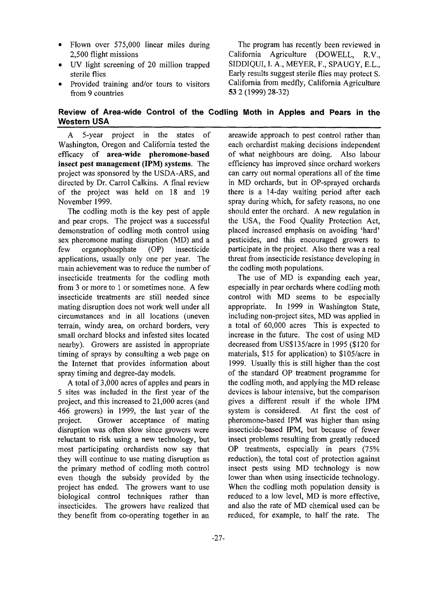- Flown over 575,000 linear miles during 2,500 flight missions
- UV light screening of 20 million trapped sterile flies
- Provided training and/or tours to visitors from 9 countries

The program has recently been reviewed in California Agriculture (DOWELL, R.V., SIDDIQUI, I. A., MEYER, F., SPAUGY, E.L., Early results suggest sterile flies may protect S. California from medfly, California Agriculture 53 2 (1999) 28-32)

## **Review of Area-wide Control of the Codling Moth in Apples and Pears in the Western USA**

A 5-year project in the states of Washington, Oregon and California tested the efficacy of **area-wide pheromone-based insect pest management (IPM) systems.** The project was sponsored by the USDA-ARS, and directed by Dr. Carrol Calkins. A final review of the project was held on 18 and 19 November 1999.

The codling moth is the key pest of apple and pear crops. The project was a successful demonstration of codling moth control using sex pheromone mating disruption (MD) and a few organophosphate (OP) insecticide applications, usually only one per year. The main achievement was to reduce the number of insecticide treatments for the codling moth from 3 or more to 1 or sometimes none. A few insecticide treatments are still needed since mating disruption does not work well under all circumstances and in all locations (uneven terrain, windy area, on orchard borders, very small orchard blocks and infested sites located nearby). Growers are assisted in appropriate timing of sprays by consulting a web page on the Internet that provides information about spray timing and degree-day models.

A total of 3,000 acres of apples and pears in 5 sites was included in the first year of the project, and this increased to 21,000 acres (and 466 growers) in 1999, the last year of the project. Grower acceptance of mating disruption was often slow since growers were reluctant to risk using a new technology, but most participating orchardists now say that they will continue to use mating disruption as the primary method of codling moth control even though the subsidy provided by the project has ended. The growers want to use biological control techniques rather than insecticides. The growers have realized that they benefit from co-operating together in an

areawide approach to pest control rather than each orchardist making decisions independent of what neighbours are doing. Also labour efficiency has improved since orchard workers can carry out normal operations all of the time in MD orchards, but in OP-sprayed orchards there is a 14-day waiting period after each spray during which, for safety reasons, no one should enter the orchard. A new regulation in the USA, the Food Quality Protection Act, placed increased emphasis on avoiding 'hard' pesticides, and this encouraged growers to participate in the project. Also there was a real threat from insecticide resistance developing in the codling moth populations.

The use of MD is expanding each year, especially in pear orchards where codling moth control with MD seems to be especially appropriate. In 1999 in Washington State, including non-project sites, MD was applied in a total of 60,000 acres This is expected to increase in the future. The cost of using MD decreased from US\$135/acre in 1995 (\$120 for materials, \$15 for application) to \$105/acre in 1999. Usually this is still higher than the cost of the standard OP treatment programme for the codling moth, and applying the MD release devices is labour intensive, but the comparison gives a different result if the whole IPM system is considered. At first the cost of pheromone-based IPM was higher than using insecticide-based IPM, but because of fewer insect problems resulting from greatly reduced OP treatments, especially in pears (75% reduction), the total cost of protection against insect pests using MD technology is now lower than when using insecticide technology. When the codling moth population density is reduced to a low level, MD is more effective, and also the rate of MD chemical used can be reduced, for example, to half the rate. The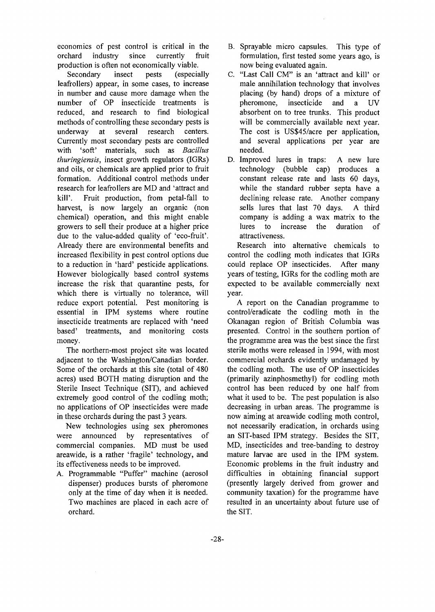economics of pest control is critical in the orchard industry since currently fruit production is often not economically viable.

Secondary insect pests (especially leafrollers) appear, in some cases, to increase in number and cause more damage when the number of OP insecticide treatments is reduced, and research to find biological methods of controlling these secondary pests is underway at several research centers. Currently most secondary pests are controlled with 'soft' materials, such as *Bacillus thuringiensis,* insect growth regulators (IGRs) and oils, or chemicals are applied prior to fruit formation. Additional control methods under research for leafrollers are MD and 'attract and kill'. Fruit production, from petal-fall to harvest, is now largely an organic (non chemical) operation, and this might enable growers to sell their produce at a higher price due to the value-added quality of 'eco-fruit'. Already there are environmental benefits and increased flexibility in pest control options due to a reduction in 'hard' pesticide applications. However biologically based control systems increase the risk that quarantine pests, for which there is virtually no tolerance, will reduce export potential. Pest monitoring is essential in IPM systems where routine insecticide treatments are replaced with 'need based' treatments, and monitoring costs money.

The northern-most project site was located adjacent to the Washington/Canadian border. Some of the orchards at this site (total of 480 acres) used BOTH mating disruption and the Sterile Insect Technique (SIT), and achieved extremely good control of the codling moth; no applications of OP insecticides were made in these orchards during the past 3 years.

New technologies using sex pheromones were announced by representatives of commercial companies. MD must be used areawide, is a rather 'fragile' technology, and its effectiveness needs to be improved.

A. Programmable "Puffer" machine (aerosol dispenser) produces bursts of pheromone only at the time of day when it is needed. Two machines are placed in each acre of orchard.

- B. Sprayable micro capsules. This type of formulation, first tested some years ago, is now being evaluated again.
- C. "Last Call CM" is an 'attract and kill' or male annihilation technology that involves placing (by hand) drops of a mixture of<br>pheromone, insecticide and a UV pheromone, insecticide and a UV absorbent on to tree trunks. This product will be commercially available next year. The cost is US\$45/acre per application, and several applications per year are needed.
- D. Improved lures in traps: A new lure technology (bubble cap) produces a constant release rate and lasts 60 days, while the standard rubber septa have a declining release rate. Another company sells lures that last 70 days. A third company is adding a wax matrix to the lures to increase the duration of attractiveness.

Research into alternative chemicals to control the codling moth indicates that IGRs could replace OP insecticides. After many years of testing, IGRs for the codling moth are expected to be available commercially next year.

A report on the Canadian programme to control/eradicate the codling moth in the Okanagan region of British Columbia was presented. Control in the southern portion of the programme area was the best since the first sterile moths were released in 1994, with most commercial orchards evidently undamaged by the codling moth. The use of OP insecticides (primarily azinphosmethyl) for codling moth control has been reduced by one half from what it used to be. The pest population is also decreasing in urban areas. The programme is now aiming at areawide codling moth control, not necessarily eradication, in orchards using an SIT-based IPM strategy. Besides the SIT, MD, insecticides and tree-banding to destroy mature larvae are used in the IPM system. Economic problems in the fruit industry and difficulties in obtaining financial support (presently largely derived from grower and community taxation) for the programme have resulted in an uncertainty about future use of the SIT.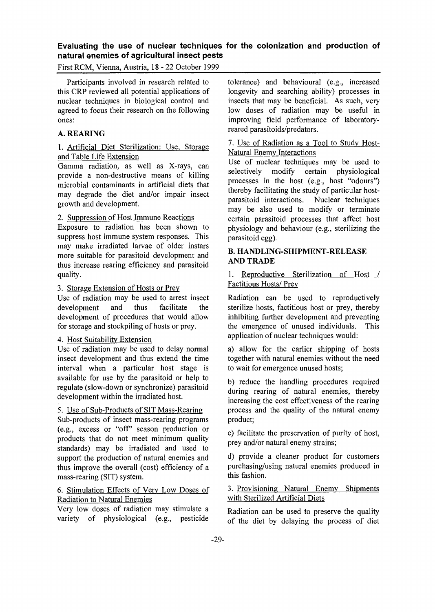## **Evaluating the use of nuclear techniques for the colonization and production of natural enemies of agricultural insect pests**

First RCM, Vienna, Austria, 18-22 October 1999

Participants involved in research related to this CRP reviewed all potential applications of nuclear techniques in biological control and agreed to focus their research on the following ones:

## **A. REARING**

#### 1. Artificial Diet Sterilization: Use, Storage and Table Life Extension

Gamma radiation, as well as X-rays, can provide a non-destructive means of killing microbial contaminants in artificial diets that may degrade the diet and/or impair insect growth and development.

### 2. Suppression of Host Immune Reactions

Exposure to radiation has been shown to suppress host immune system responses. This may make irradiated larvae of older instars more suitable for parasitoid development and thus increase rearing efficiency and parasitoid quality.

#### 3. Storage Extension of Hosts or Prey

Use of radiation may be used to arrest insect development and thus facilitate the development of procedures that would allow for storage and stockpiling of hosts or prey.

#### 4. Host Suitability Extension

Use of radiation may be used to delay normal insect development and thus extend the time interval when a particular host stage is available for use by the parasitoid or help to regulate (slow-down or synchronize) parasitoid development within the irradiated host.

#### 5. Use of Sub-Products of SIT Mass-Rearing

Sub-products of insect mass-rearing programs (e.g., excess or "off" season production or products that do not meet minimum quality standards) may be irradiated and used to support the production of natural enemies and thus improve the overall (cost) efficiency of a mass-rearing (SIT) system.

## 6. Stimulation Effects of Very Low Doses of Radiation to Natural Enemies

Very low doses of radiation may stimulate a variety of physiological (e.g., pesticide tolerance) and behavioural (e.g., increased longevity and searching ability) processes in insects that may be beneficial. As such, very low doses of radiation may be useful in improving field performance of laboratoryreared parasitoids/predators.

#### 7. Use of Radiation as a Tool to Study Host-Natural Enemy Interactions

Use of nuclear techniques may be used to selectively modify certain physiological processes in the host (e.g., host "odours") thereby facilitating the study of particular hostparasitoid interactions. Nuclear techniques may be also used to modify or terminate certain parasitoid processes that affect host physiology and behaviour (e.g., sterilizing the parasitoid egg).

## **B. HANDLING-SHIPMENT-RELEASE AND TRADE**

1. Reproductive Sterilization of Host / Factitious Hosts/ Prey

Radiation can be used to reproductively sterilize hosts, factitious host or prey, thereby inhibiting further development and preventing the emergence of unused individuals. This application of nuclear techniques would:

a) allow for the earlier shipping of hosts together with natural enemies without the need to wait for emergence unused hosts;

b) reduce the handling procedures required during rearing of natural enemies, thereby increasing the cost effectiveness of the rearing process and the quality of the natural enemy product;

c) facilitate the preservation of purity of host, prey and/or natural enemy strains;

d) provide a cleaner product for customers purchasing/using natural enemies produced in this fashion.

## 3. Provisioning Natural Enemy Shipments with Sterilized Artificial Diets

Radiation can be used to preserve the quality of the diet by delaying the process of diet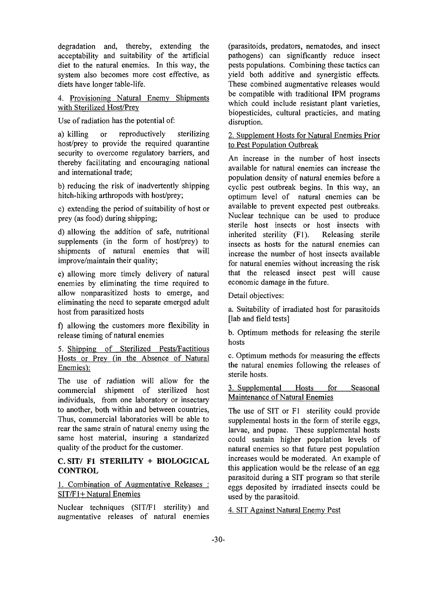degradation and, thereby, extending the acceptability and suitability of the artificial diet to the natural enemies. In this way, the system also becomes more cost effective, as diets have longer table-life.

4. Provisioning Natural Enemy Shipments with Sterilized Host/Prey

Use of radiation has the potential of:

a) killing or reproductively sterilizing host/prey to provide the required quarantine security to overcome regulatory barriers, and thereby facilitating and encouraging national and international trade;

b) reducing the risk of inadvertently shipping hitch-hiking arthropods with host/prey;

c) extending the period of suitability of host or prey (as food) during shipping;

d) allowing the addition of safe, nutritional supplements (in the form of host/prey) to shipments of natural enemies that will improve/maintain their quality;

e) allowing more timely delivery of natural enemies by eliminating the time required to allow nonparasitized hosts to emerge, and eliminating the need to separate emerged adult host from parasitized hosts

f) allowing the customers more flexibility in release timing of natural enemies

5. Shipping of Sterilized Pests/Factitious Hosts or Prey (in the Absence of Natural Enemies):

The use of radiation will allow for the commercial shipment of sterilized host individuals, from one laboratory or insectary to another, both within and between countries, Thus, commercial laboratories will be able to rear the same strain of natural enemy using the same host material, insuring a standarized quality of the product for the customer.

## **C. SIT/ Fl STERILITY + BIOLOGICAL CONTROL**

## 1. Combination of Augmentative Releases : SIT/F1+ Natural Enemies

Nuclear techniques (SIT/F1 sterility) and augmentative releases of natural enemies

(parasitoids, predators, nematodes, and insect pathogens) can significantly reduce insect pests populations. Combining these tactics can yield both additive and synergistic effects. These combined augmentative releases would be compatible with traditional IPM programs which could include resistant plant varieties, biopesticides, cultural practicies, and mating disruption.

## 2. Supplement Hosts for Natural Enemies Prior to Pest Population Outbreak

An increase in the number of host insects available for natural enemies can increase the population density of natural enemies before a cyclic pest outbreak begins. In this way, an optimum level of natural enemies can be available to prevent expected pest outbreaks. Nuclear technique can be used to produce sterile host insects or host insects with inherited sterility (Fl). Releasing sterile insects as hosts for the natural enemies can increase the number of host insects available for natural enemies without increasing the risk that the released insect pest will cause economic damage in the future.

Detail objectives:

a. Suitability of irradiated host for parasitoids [lab and field tests]

b. Optimum methods for releasing the sterile hosts

c. Optimum methods for measuring the effects the natural enemies following the releases of sterile hosts.

3. Supplemental Hosts for Seasonal Maintenance of Natural Enemies

The use of SIT or Fl sterility could provide supplemental hosts in the form of sterile eggs, larvae, and pupae. These supplemental hosts could sustain higher population levels of natural enemies so that future pest population increases would be moderated. An example of this application would be the release of an egg parasitoid during a SIT program so that sterile eggs deposited by irradiated insects could be used by the parasitoid.

4. SIT Against Natural Enemy Pest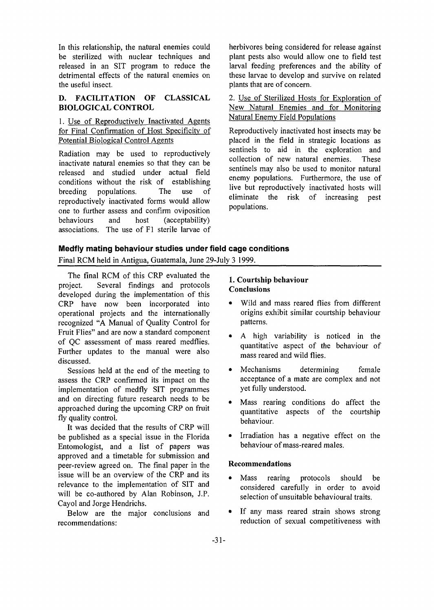In this relationship, the natural enemies could be sterilized with nuclear techniques and released in an SIT program to reduce the detrimental effects of the natural enemies on the useful insect.

## **D. FACILITATION OF CLASSICAL BIOLOGICAL CONTROL**

## 1. Use of Reproductively Inactivated Agents for Final Confirmation of Host Specificity of Potential Biological Control Agents

Radiation may be used to reproductively inactivate natural enemies so that they can be released and studied under actual field conditions without the risk of establishing breeding populations. The use of reproductively inactivated forms would allow one to further assess and confirm oviposition behaviours and host (acceptability) associations. The use of Fl sterile larvae of herbivores being considered for release against plant pests also would allow one to field test larval feeding preferences and the ability of these larvae to develop and survive on related plants that are of concern.

2. Use of Sterilized Hosts for Exploration of New Natural Enemies and for Monitoring Natural Enemy Field Populations

Reproductively inactivated host insects may be placed in the field in strategic locations as sentinels to aid in the exploration and collection of new natural enemies. These sentinels may also be used to monitor natural enemy populations. Furthermore, the use of live but reproductively inactivated hosts will eliminate the risk of increasing pest populations.

## **Medfly mating behaviour studies under field cage conditions**

Final RCM held in Antigua, Guatemala, June 29-July 3 1999.

The final RCM of this CRP evaluated the project. Several findings and protocols developed during the implementation of this CRP have now been incorporated into operational projects and the internationally recognized "A Manual of Quality Control for Fruit Flies" and are now a standard component of QC assessment of mass reared medflies. Further updates to the manual were also discussed.

Sessions held at the end of the meeting to assess the CRP confirmed its impact on the implementation of medfly SIT programmes and on directing future research needs to be approached during the upcoming CRP on fruit fly quality control.

It was decided that the results of CRP will be published as a special issue in the Florida Entomologist, and a list of papers was approved and a timetable for submission and peer-review agreed on. The final paper in the issue will be an overview of the CRP and its relevance to the implementation of SIT and will be co-authored by Alan Robinson, J.P. Cayol and Jorge Hendrichs.

Below are the major conclusions and recommendations:

## **1. Courtship behaviour Conclusions**

- Wild and mass reared flies from different origins exhibit similar courtship behaviour patterns.
- A high variability is noticed in the quantitative aspect of the behaviour of mass reared and wild flies.
- Mechanisms determining female acceptance of a mate are complex and not yet fully understood.
- Mass rearing conditions do affect the quantitative aspects of the courtship behaviour.
- Irradiation has a negative effect on the behaviour of mass-reared males.

## **Recommendations**

- Mass rearing protocols should be considered carefully in order to avoid selection of unsuitable behavioural traits.
- If any mass reared strain shows strong reduction of sexual competitiveness with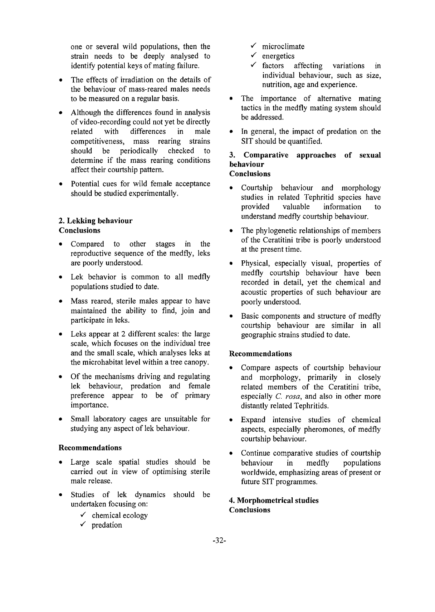one or several wild populations, then the strain needs to be deeply analysed to identify potential keys of mating failure.

- The effects of irradiation on the details of the behaviour of mass-reared males needs to be measured on a regular basis.
- Although the differences found in analysis of video-recording could not yet be directly related with differences in male competitiveness, mass rearing strains should be periodically checked to determine if the mass rearing conditions affect their courtship pattern.
- Potential cues for wild female acceptance should be studied experimentally.

## **2. Lekking behaviour Conclusions**

- Compared to other stages in the reproductive sequence of the medfly, leks are poorly understood.
- Lek behavior is common to all medfly populations studied to date.
- Mass reared, sterile males appear to have maintained the ability to find, join and participate in leks.
- Leks appear at 2 different scales: the large scale, which focuses on the individual tree and the small scale, which analyses leks at the microhabitat level within a tree canopy.
- Of the mechanisms driving and regulating lek behaviour, predation and female preference appear to be of primary importance.
- Small laboratory cages are unsuitable for studying any aspect of lek behaviour.

## **Recommendations**

- Large scale spatial studies should be carried out in view of optimising sterile male release.
- Studies of lek dynamics should be undertaken focusing on:
	- *•f* chemical ecology
	- $\checkmark$  predation
- *S* microclimate
- *S* energetics
- *•S* factors affecting variations in individual behaviour, such as size, nutrition, age and experience.
- The importance of alternative mating tactics in the medfly mating system should be addressed.
- In general, the impact of predation on the SIT should be quantified.

# **3. Comparative approaches of sexual behaviour**

# **Conclusions**

- Courtship behaviour and morphology studies in related Tephritid species have provided valuable information to understand medfly courtship behaviour.
- The phylogenetic relationships of members of the Ceratitini tribe is poorly understood at the present time.
- Physical, especially visual, properties of medfly courtship behaviour have been recorded in detail, yet the chemical and acoustic properties of such behaviour are poorly understood.
- Basic components and structure of medfly courtship behaviour are similar in all geographic strains studied to date.

## **Recommendations**

- Compare aspects of courtship behaviour and morphology, primarily in closely related members of the Ceratitini tribe, especially *C. rosa,* and also in other more distantly related Tephritids.
- Expand intensive studies of chemical aspects, especially pheromones, of medfly courtship behaviour.
- Continue comparative studies of courtship behaviour in medfly populations worldwide, emphasizing areas of present or future SIT programmes.

## **4. Morphometrical studies Conclusions**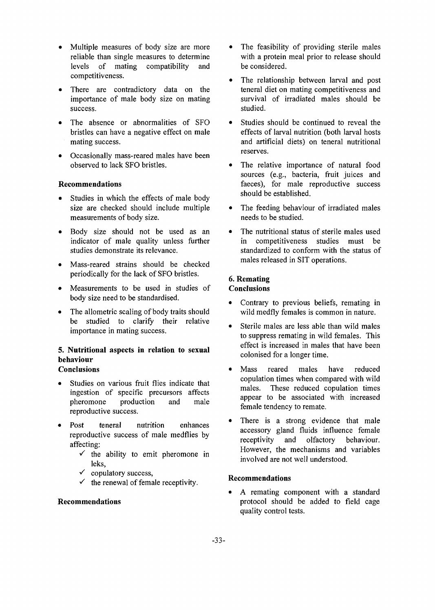- Multiple measures of body size are more reliable than single measures to determine levels of mating compatibility and competitiveness.
- There are contradictory data on the importance of male body size on mating success.
- The absence or abnormalities of SFO bristles can have a negative effect on male mating success.
- Occasionally mass-reared males have been observed to lack SFO bristles.

#### **Recommendations**

- Studies in which the effects of male body size are checked should include multiple measurements of body size.
- Body size should not be used as an indicator of male quality unless further studies demonstrate its relevance.
- Mass-reared strains should be checked periodically for the lack of SFO bristles.
- Measurements to be used in studies of body size need to be standardised.
- The allometric scaling of body traits should be studied to clarify their relative importance in mating success.

# **5. Nutritional aspects in relation to sexual behaviour**

# **Conclusions**

- Studies on various fruit flies indicate that ingestion of specific precursors affects pheromone production and male reproductive success.
- Post teneral nutrition enhances reproductive success of male medflies by affecting:
	- $\checkmark$  the ability to emit pheromone in leks,
	- *•S* copulatory success,
	- $\checkmark$  the renewal of female receptivity.

#### **Recommendations**

- The feasibility of providing sterile males with a protein meal prior to release should be considered.
- The relationship between larval and post teneral diet on mating competitiveness and survival of irradiated males should be studied.
- Studies should be continued to reveal the effects of larval nutrition (both larval hosts and artificial diets) on teneral nutritional reserves.
- The relative importance of natural food sources (e.g., bacteria, fruit juices and faeces), for male reproductive success should be established.
- The feeding behaviour of irradiated males needs to be studied.
- The nutritional status of sterile males used in competitiveness studies must be standardized to conform with the status of males released in SIT operations.

#### **6. Remating Conclusions**

- Contrary to previous beliefs, remating in wild medfly females is common in nature.
- Sterile males are less able than wild males to suppress remating in wild females. This effect is increased in males that have been colonised for a longer time.
- Mass reared males have reduced copulation times when compared with wild males. These reduced copulation times appear to be associated with increased female tendency to remate.
- There is a strong evidence that male accessory gland fluids influence female receptivity and olfactory behaviour. However, the mechanisms and variables involved are not well understood.

## **Recommendations**

A remating component with a standard protocol should be added to field cage quality control tests.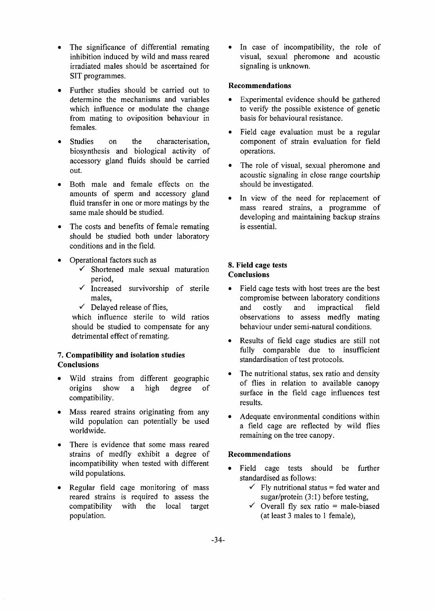- The significance of differential remating inhibition induced by wild and mass reared irradiated males should be ascertained for SIT programmes.
- Further studies should be carried out to determine the mechanisms and variables which influence or modulate the change from mating to oviposition behaviour in females.
- Studies on the characterisation, biosynthesis and biological activity of accessory gland fluids should be carried out.
- Both male and female effects on the amounts of sperm and accessory gland fluid transfer in one or more matings by the same male should be studied.
- The costs and benefits of female remating should be studied both under laboratory conditions and in the field.
- Operational factors such as
	- *•S* Shortened male sexual maturation period,
	- *•S* Increased survivorship of sterile males,
	- *•/* Delayed release of flies,

which influence sterile to wild ratios should be studied to compensate for any detrimental effect of remating.

## 7. **Compatibility and isolation studies Conclusions**

- Wild strains from different geographic origins show a high degree of compatibility.
- Mass reared strains originating from any wild population can potentially be used worldwide.
- There is evidence that some mass reared strains of medfly exhibit a degree of incompatibility when tested with different wild populations.
- Regular field cage monitoring of mass reared strains is required to assess the compatibility with the local target population.

In case of incompatibility, the role of visual, sexual pheromone and acoustic signaling is unknown.

## **Recommendations**

- Experimental evidence should be gathered to verify the possible existence of genetic basis for behavioural resistance.
- Field cage evaluation must be a regular component of strain evaluation for field operations.
- The role of visual, sexual pheromone and acoustic signaling in close range courtship should be investigated.
- In view of the need for replacement of mass reared strains, a programme of developing and maintaining backup strains is essential.

#### **8. Field cage tests Conclusions**

- Field cage tests with host trees are the best compromise between laboratory conditions and costly and impractical field observations to assess medfly mating behaviour under semi-natural conditions.
- Results of field cage studies are still not fully comparable due to insufficient standardisation of test protocols.
- The nutritional status, sex ratio and density of flies in relation to available canopy surface in the field cage influences test results.
- Adequate environmental conditions within a field cage are reflected by wild flies remaining on the tree canopy.

## **Recommendations**

- Field cage tests should be further standardised as follows:
	- $\checkmark$  Fly nutritional status = fed water and sugar/protein (3:1) before testing,
	- $\checkmark$  Overall fly sex ratio = male-biased (at least 3 males to 1 female),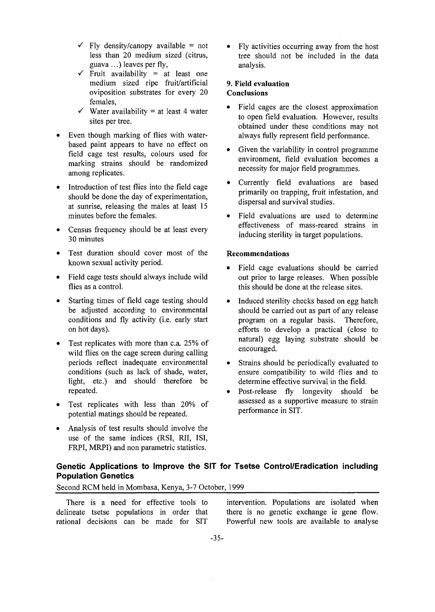- $\checkmark$  Fly density/canopy available = not less than 20 medium sized (citrus, guava ...) leaves per fly,
- $\checkmark$  Fruit availability = at least one medium sized ripe fruit/artificial oviposition substrates for every 20 females,
- $\checkmark$  Water availability = at least 4 water sites per tree.
- Even though marking of flies with waterbased paint appears to have no effect on field cage test results, colours used for marking strains should be randomized among replicates.
- Introduction of test flies into the field cage should be done the day of experimentation, at sunrise, releasing the males at least 15 minutes before the females.
- Census frequency should be at least every 30 minutes
- Test duration should cover most of the known sexual activity period.
- Field cage tests should always include wild flies as a control.
- Starting times of field cage testing should be adjusted according to environmental conditions and fly activity (i.e. early start on hot days).
- Test replicates with more than c.a. 25% of wild flies on the cage screen during calling periods reflect inadequate environmental conditions (such as lack of shade, water, light, etc.) and should therefore be repeated.
- Test replicates with less than 20% of potential matings should be repeated.
- Analysis of test results should involve the use of the same indices (RSI, RII, ISI, FRPI, MRPI) and non parametric statistics.

• Fly activities occurring away from the host tree should not be included in the data analysis.

#### **9. Field evaluation Conclusions**

- Field cages are the closest approximation to open field evaluation. However, results obtained under these conditions may not always fully represent field performance.
- Given the variability in control programme environment, field evaluation becomes a necessity for major field programmes.
- Currently field evaluations are based primarily on trapping, fruit infestation, and dispersal and survival studies.
- Field evaluations are used to determine effectiveness of mass-reared strains in inducing sterility in target populations.

## **Recommendations**

- Field cage evaluations should be carried out prior to large releases. When possible this should be done at the release sites.
- Induced sterility checks based on egg hatch should be carried out as part of any release program on a regular basis. Therefore, efforts to develop a practical (close to natural) egg laying substrate should be encouraged.
- Strains should be periodically evaluated to ensure compatibility to wild flies and to determine effective survival in the field.
- Post-release fly longevity should be assessed as a supportive measure to strain performance in SIT.

## **Genetic Applications to Improve the SIT for Tsetse Control/Eradication including Population Genetics**

Second RCM held in Mombasa, Kenya, 3-7 October, 1999

There is a need for effective tools to delineate tsetse populations in order that rational decisions can be made for SIT

intervention. Populations are isolated when there is no genetic exchange ie gene flow. Powerful new tools are available to analyse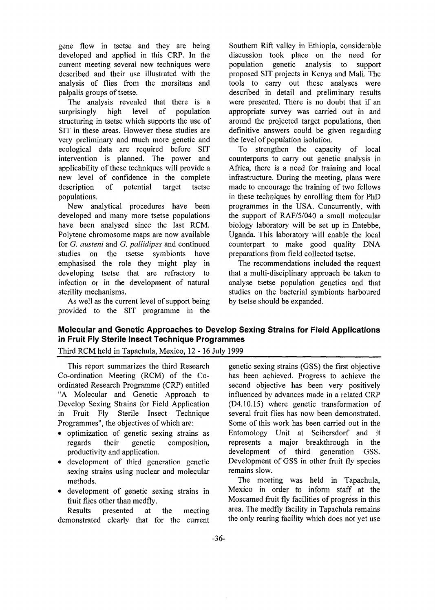gene flow in tsetse and they are being developed and applied in this CRP. In the current meeting several new techniques were described and their use illustrated with the analysis of flies from the morsitans and palpalis groups of tsetse.

The analysis revealed that there is a<br>prisingly high level of population surprisingly high level of structuring in tsetse which supports the use of SIT in these areas. However these studies are very preliminary and much more genetic and ecological data are required before SIT intervention is planned. The power and applicability of these techniques will provide a new level of confidence in the complete description of potential target tsetse populations.

New analytical procedures have been developed and many more tsetse populations have been analysed since the last RCM. Polytene chromosome maps are now available for *G. austeni* and *G. pallidipes* and continued studies on the tsetse symbionts have emphasised the role they might play in developing tsetse that are refractory to infection or in the development of natural sterility mechanisms.

As well as the current level of support being provided to the SIT programme in the

Southern Rift valley in Ethiopia, considerable discussion took place on the need for population genetic analysis to support proposed SIT projects in Kenya and Mali. The tools to carry out these analyses were described in detail and preliminary results were presented. There is no doubt that if an appropriate survey was carried out in and around the projected target populations, then definitive answers could be given regarding the level of population isolation.

To strengthen the capacity of local counterparts to carry out genetic analysis in Africa, there is a need for training and local infrastructure. During the meeting, plans were made to encourage the training of two fellows in these techniques by enrolling them for PhD programmes in the USA. Concurrently, with the support of RAF/5/040 a small molecular biology laboratory will be set up in Entebbe, Uganda. This laboratory will enable the local counterpart to make good quality DNA preparations from field collected tsetse.

The recommendations included the request that a multi-disciplinary approach be taken to analyse tsetse population genetics and that studies on the bacterial symbionts harboured by tsetse should be expanded.

## **Molecular and Genetic Approaches to Develop Sexing Strains for Field Applications in Fruit Fly Sterile Insect Technique Programmes**

Third RCM held in Tapachula, Mexico, 12-16 July 1999

This report summarizes the third Research Co-ordination Meeting (RCM) of the Coordinated Research Programme (CRP) entitled "A Molecular and Genetic Approach to Develop Sexing Strains for Field Application in Fruit Fly Sterile Insect Technique Programmes", the objectives of which are:

- optimization of genetic sexing strains as regards their genetic composition, productivity and application.
- development of third generation genetic sexing strains using nuclear and molecular methods.
- development of genetic sexing strains in fruit flies other than medfly.

Results presented at the meeting demonstrated clearly that for the current

genetic sexing strains (GSS) the first objective has been achieved. Progress to achieve the second objective has been very positively influenced by advances made in a related CRP (D4.10.15) where genetic transformation of several fruit flies has now been demonstrated. Some of this work has been carried out in the Entomology Unit at Seibersdorf and it represents a major breakthrough in the development of third generation GSS. Development of GSS in other fruit fly species remains slow.

The meeting was held in Tapachula, Mexico in order to inform staff at the Moscamed fruit fly facilities of progress in this area. The medfly facility in Tapachula remains the only rearing facility which does not yet use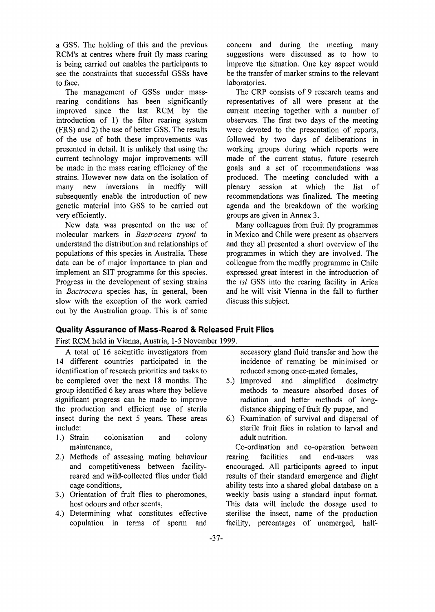a GSS. The holding of this and the previous RCM's at centres where fruit fly mass rearing is being carried out enables the participants to see the constraints that successful GSSs have to face.

The management of GSSs under massrearing conditions has been significantly improved since the last RCM by the introduction of 1) the filter rearing system (FRS) and 2) the use of better GSS. The results of the use of both these improvements was presented in detail. It is unlikely that using the current technology major improvements will be made in the mass rearing efficiency of the strains. However new data on the isolation of many new inversions in medfly will subsequently enable the introduction of new genetic material into GSS to be carried out very efficiently.

New data was presented on the use of molecular markers in *Bactrocera tryoni* to understand the distribution and relationships of populations of this species in Australia. These data can be of major importance to plan and implement an SIT programme for this species. Progress in the development of sexing strains in *Bactrocera* species has, in general, been slow with the exception of the work carried out by the Australian group. This is of some concern and during the meeting many suggestions were discussed as to how to improve the situation. One key aspect would be the transfer of marker strains to the relevant laboratories.

The CRP consists of 9 research teams and representatives of all were present at the current meeting together with a number of observers. The first two days of the meeting were devoted to the presentation of reports, followed by two days of deliberations in working groups during which reports were made of the current status, future research goals and a set of recommendations was produced. The meeting concluded with a plenary session at which the list of recommendations was finalized. The meeting agenda and the breakdown of the working groups are given in Annex 3.

Many colleagues from fruit fly programmes in Mexico and Chile were present as observers and they all presented a short overview of the programmes in which they are involved. The colleague from the medfly programme in Chile expressed great interest in the introduction of the *tsl* GSS into the rearing facility in Arica and he will visit Vienna in the fall to further discuss this subject.

## **Quality Assurance of Mass-Reared & Released Fruit Flies**

First RCM held in Vienna, Austria, 1-5 November 1999.

A total of 16 scientific investigators from 14 different countries participated in the identification of research priorities and tasks to be completed over the next 18 months. The group identified 6 key areas where they believe significant progress can be made to improve the production and efficient use of sterile insect during the next 5 years. These areas include:

- 1.) Strain colonisation and colony maintenance,
- 2.) Methods of assessing mating behaviour and competitiveness between facilityreared and wild-collected flies under field cage conditions,
- 3.) Orientation of fruit flies to pheromones, host odours and other scents,
- 4.) Determining what constitutes effective copulation in terms of sperm and

accessory gland fluid transfer and how the incidence of remating be minimised or reduced among once-mated females,

- 5.) Improved and simplified dosimetry methods to measure absorbed doses of radiation and better methods of longdistance shipping of fruit fly pupae, and
- 6.) Examination of survival and dispersal of sterile fruit flies in relation to larval and adult nutrition.

Co-ordination and co-operation between rearing facilities and end-users was encouraged. All participants agreed to input results of their standard emergence and flight ability tests into a shared global database on a weekly basis using a standard input format. This data will include the dosage used to sterilise the insect, name of the production facility, percentages of unemerged, half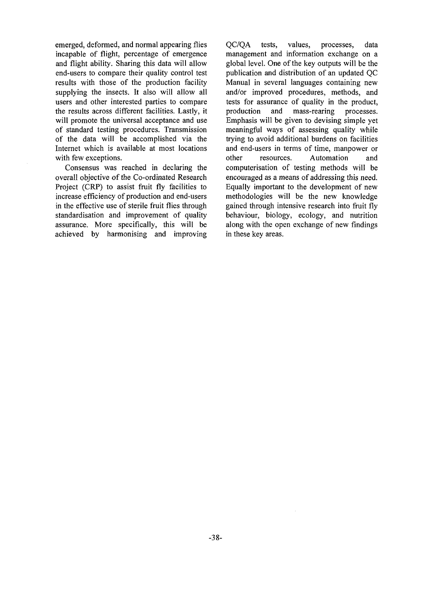emerged, deformed, and normal appearing flies incapable of flight, percentage of emergence and flight ability. Sharing this data will allow end-users to compare their quality control test results with those of the production facility supplying the insects. It also will allow all users and other interested parties to compare the results across different facilities. Lastly, it will promote the universal acceptance and use of standard testing procedures. Transmission of the data will be accomplished via the Internet which is available at most locations with few exceptions.

Consensus was reached in declaring the overall objective of the Co-ordinated Research Project (CRP) to assist fruit fly facilities to increase efficiency of production and end-users in the effective use of sterile fruit flies through standardisation and improvement of quality assurance. More specifically, this will be achieved by harmonising and improving

QC/QA tests, values, processes, data management and information exchange on a global level. One of the key outputs will be the publication and distribution of an updated QC Manual in several languages containing new and/or improved procedures, methods, and tests for assurance of quality in the product, production and mass-rearing processes. Emphasis will be given to devising simple yet meaningful ways of assessing quality while trying to avoid additional burdens on facilities and end-users in terms of time, manpower or other resources. Automation and computerisation of testing methods will be encouraged as a means of addressing this need. Equally important to the development of new methodologies will be the new knowledge gained through intensive research into fruit fly behaviour, biology, ecology, and nutrition along with the open exchange of new findings in these key areas.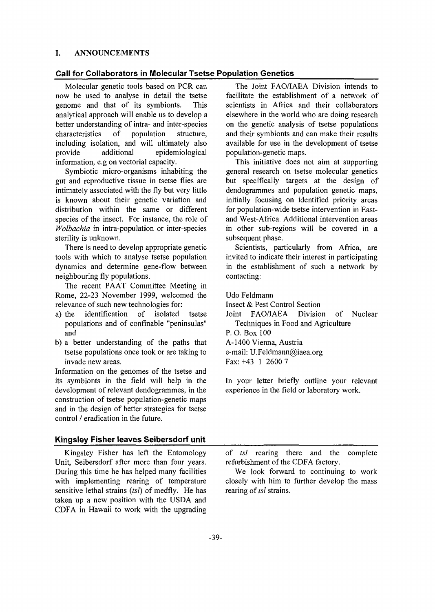#### I. ANNOUNCEMENTS

#### **Call for Collaborators in Molecular Tsetse Population Genetics**

Molecular genetic tools based on PCR can now be used to analyse in detail the tsetse genome and that of its symbionts. This analytical approach will enable us to develop a better understanding of intra- and inter-species characteristics of population structure, including isolation, and will ultimately also provide additional epidemiological information, e.g on vectorial capacity.

Symbiotic micro-organisms inhabiting the gut and reproductive tissue in tsetse flies are intimately associated with the fly but very little is known about their genetic variation and distribution within the same or different species of the insect. For instance, the role of *Wolbachia* in intra-population or inter-species sterility is unknown.

There is need to develop appropriate genetic tools with which to analyse tsetse population dynamics and determine gene-flow between neighbouring fly populations.

The recent PAAT Committee Meeting in Rome, 22-23 November 1999, welcomed the relevance of such new technologies for:

- a) the identification of isolated tsetse populations and of confinable "peninsulas" and
- b) a better understanding of the paths that tsetse populations once took or are taking to invade new areas.

Information on the genomes of the tsetse and its symbionts in the field will help in the development of relevant dendogrammes, in the construction of tsetse population-genetic maps and in the design of better strategies for tsetse control / eradication in the future.

#### **Kingsley Fisher leaves Seibersdorf unit**

Kingsley Fisher has left the Entomology Unit, Seibersdorf after more than four years. During this time he has helped many facilities with implementing rearing of temperature sensitive lethal strains *{tsl)* of medfly. He has taken up a new position with the USDA and CDFA in Hawaii to work with the upgrading

The Joint FAO/IAEA Division intends to facilitate the establishment of a network of scientists in Africa and their collaborators elsewhere in the world who are doing research on the genetic analysis of tsetse populations and their symbionts and can make their results available for use in the development of tsetse population-genetic maps.

This initiative does not aim at supporting general research on tsetse molecular genetics but specifically targets at the design of dendogrammes and population genetic maps, initially focusing on identified priority areas for population-wide tsetse intervention in Eastand West-Africa. Additional intervention areas in other sub-regions will be covered in a subsequent phase.

Scientists, particularly from Africa, are invited to indicate their interest in participating in the establishment of such a network by contacting:

Udo Feldmann

Insect & Pest Control Section

Joint FAO/IAEA Division of Nuclear Techniques in Food and Agriculture

P. O. Box 100

A-1400 Vienna, Austria

e-mail: U.Feldmann@iaea.org

Fax:+43 1 2600 7

In your letter briefly outline your relevant experience in the field or laboratory work.

of *tsl* rearing there and the complete refurbishment of the CDFA factory.

We look forward to continuing to work closely with him to further develop the mass rearing of *tsl* strains.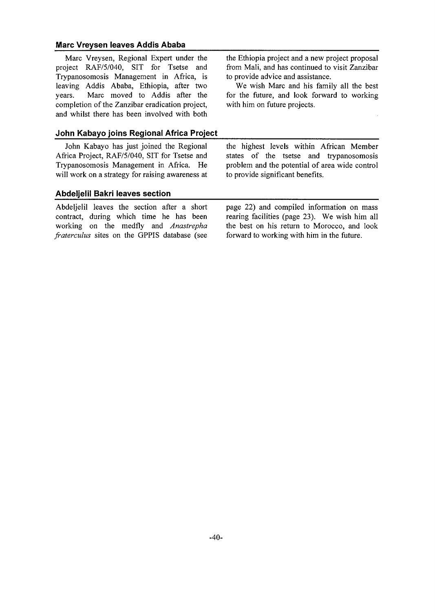#### **Marc Vreysen leaves Addis Ababa**

Marc Vreysen, Regional Expert under the project RAF/5/040, SIT for Tsetse and Trypanosomosis Management in Africa, is leaving Addis Ababa, Ethiopia, after two years. Marc moved to Addis after the completion of the Zanzibar eradication project, and whilst there has been involved with both

#### **John Kabayo joins Regional Africa Project**

John Kabayo has just joined the Regional Africa Project, RAF/5/040, SIT for Tsetse and Trypanosomosis Management in Africa. He will work on a strategy for raising awareness at

#### **Abdeljelil Bakri leaves section**

Abdeljelil leaves the section after a short contract, during which time he has been working on the medfly and *Anastrepha fraterculus* sites on the GPPIS database (see

the Ethiopia project and a new project proposal from Mali, and has continued to visit Zanzibar to provide advice and assistance.

We wish Marc and his family all the best for the future, and look forward to working with him on future projects.

the highest levels within African Member states of the tsetse and trypanosomosis problem and the potential of area wide control to provide significant benefits.

page 22) and compiled information on mass rearing facilities (page 23). We wish him all the best on his return to Morocco, and look forward to working with him in the future.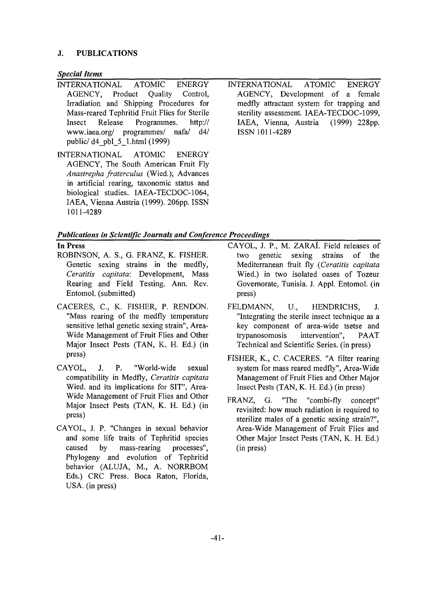#### **J. PUBLICATIONS**

#### *Special Items*

- INTERNATIONAL ATOMIC ENERGY<br>AGENCY, Product Ouality Control, AGENCY, Product Quality Control, Irradiation and Shipping Procedures for Mass-reared Tephritid Fruit Flies for Sterile<br>Insect Release Programmes. http:// Insect Release Programmes. http:// www.iaea.org/ programmes/ public/ d4\_pbl\_5\_l.html (1999)
- INTERNATIONAL ATOMIC ENERGY AGENCY, The South American Fruit Fly *Anastrepha fraterculus* (Wied.); Advances in artificial rearing, taxonomic status and biological studies. IAEA-TECDOC-1064, IAEA, Vienna Austria (1999). 206pp. ISSN 1011-4289
- INTERNATIONAL ATOMIC ENERGY AGENCY, Development of a female medfly attractant system for trapping and sterility assessment. IAEA-TECDOC-1099,<br>IAEA, Vienna, Austria (1999) 228pp. IAEA, Vienna, Austria ISSN 1011-4289

#### *Publications in Scientific Journals and Conference Proceedings*

#### **In Press**

- ROBINSON, A. S., G. FRANZ, K. FISHER. Genetic sexing strains in the medfly, *Ceratitis capitata:* Development, Mass Rearing and Field Testing. Ann. Rev. Entomol. (submitted)
- CACERES, C, K. FISHER, P. RENDON. "Mass rearing of the medfly temperature sensitive lethal genetic sexing strain", Area-Wide Management of Fruit Flies and Other Major Insect Pests (TAN, K. H. Ed.) (in press)
- CAYOL, J. P. "World-wide sexual compatibility in Medfly, *Ceratitis capitata* Wied. and its implications for SIT", Area-Wide Management of Fruit Flies and Other Major Insect Pests (TAN, K. H. Ed.) (in press)
- CAYOL, J. P. "Changes in sexual behavior and some life traits of Tephritid species caused by mass-rearing processes", Phylogeny and evolution of Tephritid behavior (ALUJA, M., A. NORRBOM Eds.) CRC Press. Boca Raton, Florida, USA. (in press)
- CAYOL, J. P., M. ZARAI. Field releases of two genetic sexing strains of the Mediterranean fruit fly *{Ceratitis capitata* Wied.) in two isolated oases of Tozeur Governorate, Tunisia. J. Appl. Entomol. (in press)
- FELDMANN, U., HENDRICHS, J. "Integrating the sterile insect technique as a key component of area-wide tsetse and trypanosomosis intervention", PAAT Technical and Scientific Series, (in press)
- FISHER, K., C. CACERES. "A filter rearing system for mass reared medfly", Area-Wide Management of Fruit Flies and Other Major Insect Pests (TAN, K. H. Ed.) (in press)
- FRANZ, G. "The "combi-fly concept" revisited: how much radiation is required to sterilize males of a genetic sexing strain?", Area-Wide Management of Fruit Flies and Other Major Insect Pests (TAN, K. H. Ed.) (in press)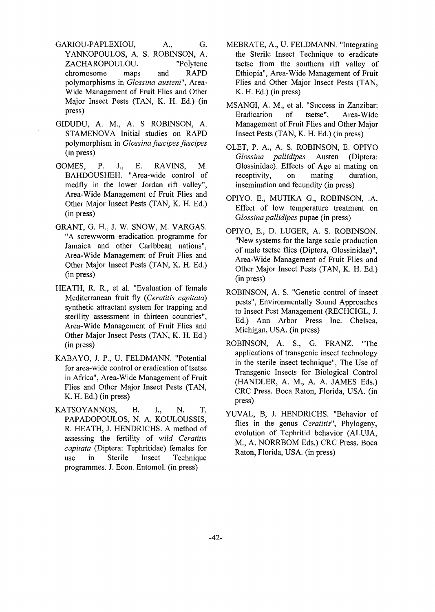- GARIOU-PAPLEXIOU, A., G. YANNOPOULOS, A. S. ROBINSON, A. ZACHAROPOULOU. "Polytene chromosome maps and RAPD polymorphisms in *Glossina austeni",* Area-Wide Management of Fruit Flies and Other Major Insect Pests (TAN, K. H. Ed.) (in press)
- GIDUDU, A. M., A. S ROBINSON, A. STAMENOVA Initial studies on RAPD polymorphism in *Glossina fuscipes fuscipes* (in press)
- GOMES, P. J., E. RAVINS, M. BAHDOUSHEH. "Area-wide control of medfly in the lower Jordan rift valley", Area-Wide Management of Fruit Flies and Other Major Insect Pests (TAN, K. H. Ed.) (in press)
- GRANT, G. H., J. W. SNOW, M. VARGAS. "A screwworm eradication programme for Jamaica and other Caribbean nations", Area-Wide Management of Fruit Flies and Other Major Insect Pests (TAN, K. H. Ed.) (in press)
- HEATH, R. R., et al. "Evaluation of female Mediterranean fruit fly *{Ceratitis capitata)* synthetic attractant system for trapping and sterility assessment in thirteen countries", Area-Wide Management of Fruit Flies and Other Major Insect Pests (TAN, K. H. Ed.) (in press)
- KABAYO, J. P., U. FELDMANN. "Potential for area-wide control or eradication of tsetse in Africa", Area-Wide Management of Fruit Flies and Other Major Insect Pests (TAN, K. H. Ed.) (in press)
- KATSOYANNOS, B. I., N. T. PAPADOPOULOS, N. A. KOULOUSSIS, R. HEATH, J. HENDRICHS. A method of assessing the fertility of *wild Ceratitis capitata* (Diptera: Tephritidae) females for use in Sterile Insect Technique programmes. J. Econ. Entomol. (in press)
- MEBRATE, A., U. FELDMANN. "Integrating the Sterile Insect Technique to eradicate tsetse from the southern rift valley of Ethiopia", Area-Wide Management of Fruit Flies and Other Major Insect Pests (TAN, K. H. Ed.) (in press)
- MSANGI, A. M., et al. "Success in Zanzibar: Eradication of tsetse", Area-Wide Management of Fruit Flies and Other Major Insect Pests (TAN, K. H. Ed.) (in press)
- OLET, P. A., A. S. ROBINSON, E. OPIYO *Glossina pallidipes* Austen (Diptera: Glossinidae). Effects of Age at mating on receptivity, on mating duration, insemination and fecundity (in press)
- OPIYO. E., MUTIKA G., ROBINSON, .A. Effect of low temperature treatment on *Glossina pallidipes* pupae (in press)
- OPIYO, E., D. LUGER, A. S. ROBINSON. "New systems for the large scale production of male tsetse flies (Diptera, Glossinidae)", Area-Wide Management of Fruit Flies and Other Major Insect Pests (TAN, K. H. Ed.) (in press)
- ROBINSON, A. S. "Genetic control of insect pests", Environmentally Sound Approaches to Insect Pest Management (RECHCIGL, J. Ed.) Ann Arbor Press Inc. Chelsea, Michigan, USA. (in press)
- ROBINSON, A. S., G. FRANZ. "The applications of transgenic insect technology in the sterile insect technique", The Use of Transgenic Insects for Biological Control (HANDLER, A. M., A. A. JAMES Eds.) CRC Press. Boca Raton, Florida, USA. (in press)
- YUVAL, B, J. HENDRICHS. "Behavior of flies in the genus *Ceratitis",* Phylogeny, evolution of Tephritid behavior (ALUJA, M., A. NORRBOM Eds.) CRC Press. Boca Raton, Florida, USA. (in press)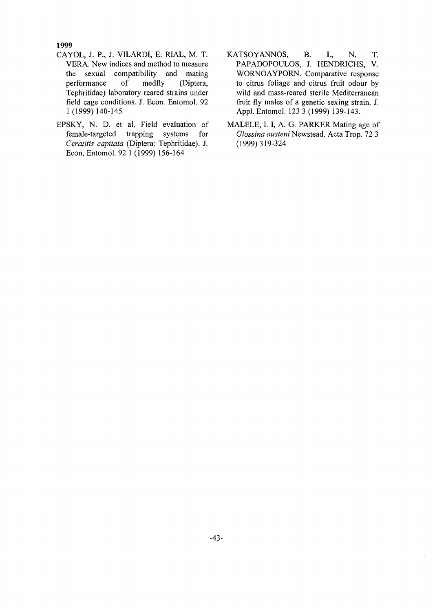1999

- CAYOL, J. P., J. VILARDI, E. RIAL, M. T. VERA. New indices and method to measure the sexual compatibility and mating performance of medfly (Diptera, Tephritidae) laboratory reared strains under field cage conditions. J. Econ. Entomol. 92 1 (1999) 140-145
- EPSKY, N. D. et al. Field evaluation of female-targeted trapping systems for *Ceratitis capitata* (Diptera: Tephritidae). J. Econ. Entomol. 92 1 (1999) 156-164
- KATSOYANNOS, B. I., N. T. PAPADOPOULOS, J. HENDRICHS, V. WORNOAYPORN. Comparative response to citrus foliage and citrus fruit odour by wild and mass-reared sterile Mediterranean fruit fly males of a genetic sexing strain. J. Appl. Entomol. 123 3 (1999) 139-143.
- MALELE, I. I, A. G. PARKER Mating age of *Glossina austeni* Newstead. Acta Trop. 72 3 (1999)319-324